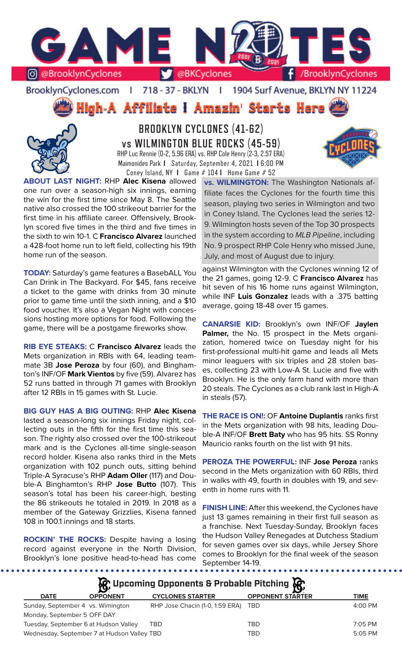

BrooklynCyclones.com | 718 - 37 - BKLYN | 1904 Surf Avenue, BKLYN NY 11224

High-A Affiliate I Amazin' Starts Here



**BROOKLYN CYCLONES (41-62) vs WILMINGTON BLUE ROCKS (45-59)** RHP Luc Rennie (0-2, 5.96 ERA) vs. RHP Cole Henry (2-3, 2.57 ERA) Maimonides Park **I** Saturday, September 4, 2021 **I** 6:00 PM Coney Island, NY **I** Game # 104 **I** Home Game # 52

**ABOUT LAST NIGHT:** RHP **Alec Kisena** allowed one run over a season-high six innings, earning the win for the first time since May 8. The Seattle native also crossed the 100 strikeout barrier for the first time in his affiliate career. Offensively, Brooklyn scored five times in the third and five times in the sixth to win 10-1. C **Francisco Alvarez** launched a 428-foot home run to left field, collecting his 19th home run of the season.

**TODAY:** Saturday's game features a BasebALL You Can Drink in The Backyard. For \$45, fans receive a ticket to the game with drinks from 30 minute prior to game time until the sixth inning, and a \$10 food voucher. It's also a Vegan Night with concessions hosting more options for food. Following the game, there will be a postgame fireworks show.

**RIB EYE STEAKS:** C **Francisco Alvarez** leads the Mets organization in RBIs with 64, leading teammate 3B **Jose Peroza** by four (60), and Binghamton's INF/OF **Mark Vientos** by five (59). Alvarez has 52 runs batted in through 71 games with Brooklyn after 12 RBIs in 15 games with St. Lucie.

**BIG GUY HAS A BIG OUTING:** RHP **Alec Kisena** lasted a season-long six innings Friday night, collecting outs in the fifth for the first time this season. The righty also crossed over the 100-strikeout mark and is the Cyclones all-time single-season record holder. Kisena also ranks third in the Mets organization with 102 punch outs, sitting behind Triple-A Syracuse's RHP **Adam Oller** (117) and Double-A Binghamton's RHP **Jose Butto** (107). This season's total has been his career-high, besting the 86 strikeouts he totaled in 2019. In 2018 as a member of the Gateway Grizzlies, Kisena fanned 108 in 100.1 innings and 18 starts.

**ROCKIN' THE ROCKS:** Despite having a losing record against everyone in the North Division, Brooklyn's lone positive head-to-head has come

. . . . . . . . . . . . . . . . . . .

**vs. WILMINGTON:** The Washington Nationals affiliate faces the Cyclones for the fourth time this season, playing two series in Wilmington and two in Coney Island. The Cyclones lead the series 12- 9. Wilmington hosts seven of the Top 30 prospects in the system according to *MLB Pipeline*, including No. 9 prospect RHP Cole Henry who missed June, July, and most of August due to injury.

against Wilmington with the Cyclones winning 12 of the 21 games, going 12-9. C **Francisco Alvarez** has hit seven of his 16 home runs against Wilmington, while INF **Luis Gonzalez** leads with a .375 batting average, going 18-48 over 15 games.

**CANARSIE KID:** Brooklyn's own INF/OF **Jaylen**  Palmer, the No. 15 prospect in the Mets organization, homered twice on Tuesday night for his first-professional multi-hit game and leads all Mets minor leaguers with six triples and 28 stolen bases, collecting 23 with Low-A St. Lucie and five with Brooklyn. He is the only farm hand with more than 20 steals. The Cyclones as a club rank last in High-A in steals (57).

**THE RACE IS ON!:** OF **Antoine Duplantis** ranks first in the Mets organization with 98 hits, leading Double-A INF/OF **Brett Baty** who has 95 hits. SS Ronny Mauricio ranks fourth on the list with 91 hits.

**PEROZA THE POWERFUL:** INF **Jose Peroza** ranks second in the Mets organization with 60 RBIs, third in walks with 49, fourth in doubles with 19, and seventh in home runs with 11.

**FINISH LINE:** After this weekend, the Cyclones have just 13 games remaining in their first full season as a franchise. Next Tuesday-Sunday, Brooklyn faces the Hudson Valley Renegades at Dutchess Stadium for seven games over six days, while Jersey Shore comes to Brooklyn for the final week of the season September 14-19.

**A**: Upcoming Opponents & Probable Pitching **A** 

|                                       | $\sim$                                      |                                 |                         |           |
|---------------------------------------|---------------------------------------------|---------------------------------|-------------------------|-----------|
| <b>DATE</b>                           | <b>OPPONENT</b>                             | <b>CYCLONES STARTER</b>         | <b>OPPONENT STARTER</b> | TIME      |
| Sunday, September 4 vs. Wimington     |                                             | RHP Jose Chacin (1-0, 1.59 ERA) | TBD                     | 4:00 PM   |
| Monday, September 5 OFF DAY           |                                             |                                 |                         |           |
| Tuesday, September 6 at Hudson Valley |                                             | TBD                             | TBD                     | $7:05$ PM |
|                                       | Wednesday, September 7 at Hudson Valley TBD |                                 | TBD                     | $5:05$ PM |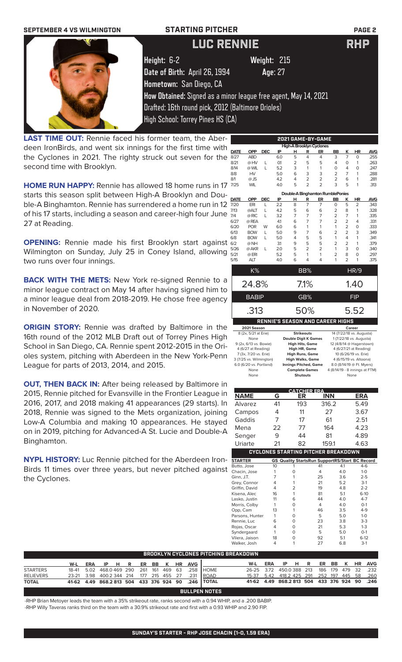| <b>SEPTEMBER 4 VS WILMINGTON</b> | <b>STARTING PITCHER</b>                                         |             | <b>PAGE 2</b> |
|----------------------------------|-----------------------------------------------------------------|-------------|---------------|
|                                  | LUC RENNIE                                                      |             | <b>RHP</b>    |
|                                  | Height: 6-2                                                     | Weight: 215 |               |
|                                  | Date of Birth: April 26, 1994                                   | Age: 27     |               |
|                                  | Hometown: San Diego, CA                                         |             |               |
|                                  | How Obtained: Signed as a minor league free agent, May 14, 2021 |             |               |
|                                  | Drafted: 16th round pick, 2012 (Baltimore Orioles)              |             |               |
|                                  | High School: Torrey Pines HS (CA)                               |             |               |

**LAST TIME OUT:** Rennie faced his former team, the Aberdeen IronBirds, and went six innings for the first time with the Cyclones in 2021. The righty struck out seven for the  $\frac{1}{8}$ second time with Brooklyn.

**HOME RUN HAPPY:** Rennie has allowed 18 home runs in 17 7. starts this season split between High-A Brooklyn and Double-A Binghamton. Rennie has surrendered a home run in 12 of his 17 starts, including a season and career-high four June  $\frac{1}{10}$ 27 at Reading.

**OPENING:** Rennie made his first Brooklyn start against  $\vec{\theta}$ Wilmington on Sunday, July 25 in Coney Island, allowing two runs over four innings.

**BACK WITH THE METS:** New York re-signed Rennie to a minor league contract on May 14 after having signed him to a minor league deal from 2018-2019. He chose free agency in November of 2020.

**ORIGIN STORY:** Rennie was drafted by Baltimore in the 16th round of the 2012 MLB Draft out of Torrey Pines High School in San Diego, CA. Rennie spent 2012-2015 in the Orioles system, pitching with Aberdeen in the New York-Penn League for parts of 2013, 2014, and 2015.

**OUT, THEN BACK IN:** After being released by Baltimore in 2015, Rennie pitched for Evansville in the Frontier League in 2016, 2017, and 2018 making 41 appearances (29 starts). In 2018, Rennie was signed to the Mets organization, joining Low-A Columbia and making 10 appearances. He stayed on in 2019, pitching for Advanced-A St. Lucie and Double-A Binghamton.

**NYPL HISTORY:** Luc Rennie pitched for the Aberdeen Iron-Birds 11 times over three years, but never pitched against the Cyclones.

| 2021 GAME-BY-GAME                |                  |            |                |                |                                   |                |                |                |          |            |  |
|----------------------------------|------------------|------------|----------------|----------------|-----------------------------------|----------------|----------------|----------------|----------|------------|--|
| High-A Brooklyn Cyclones         |                  |            |                |                |                                   |                |                |                |          |            |  |
| <b>DATE</b>                      | <b>OPP</b>       | <b>DEC</b> | IP             | н              | R                                 | ER             | BB             | ĸ              | HR       | <b>AVG</b> |  |
| 8/27                             | <b>ABD</b>       |            | 6.0            | 5              | 4                                 | 4              | 3              | $\overline{7}$ | $\Omega$ | .255       |  |
| 8/21                             | @HV              | L          | O <sub>1</sub> | $\overline{2}$ | 5                                 | 5              | 4              | 0              | 1        | .263       |  |
| 8/14                             | @ WIL            | L          | 5.2            | 3              | 1                                 | 1              | $\Omega$       | 4              | $\Omega$ | .247       |  |
| 8/8                              | HV               |            | 5.0            | 6              | 3                                 | 3              | $\overline{2}$ | 7              | 1        | .288       |  |
| 8/1                              | @ JS             |            | 4.2            | 4              | 2                                 | 2              | $\overline{2}$ | 6              | 1        | .281       |  |
| 7/25                             | <b>WIL</b>       |            | 4.0            | 5              | 2                                 | 2              | 3              | 5              | 1        | .313       |  |
| Double-A Binghamton RumblePonies |                  |            |                |                |                                   |                |                |                |          |            |  |
| <b>DATE</b>                      | <b>OPP</b>       | <b>DEC</b> | IP             | н              | R                                 | ER             | BB             | ĸ              | HR       | <b>AVG</b> |  |
| 7/20                             | ERI              | L          | 2.2            | 8              | $\overline{7}$                    | $\overline{7}$ | 0              | 5              | 2        | .343       |  |
| 7/13                             | @ALT             | L          | 4.2            | 5              | 6                                 | 6              | 2              | 8              | 1        | .328       |  |
| 7/4                              | @ RIC            | L          | 3.2            | 7              | 7                                 | $\overline{7}$ | 2              | 7              | 1        | .335       |  |
| 6/27                             | @ REA            |            | 41             | 6              | 7                                 | 7              | 2              | 2              | 4        | .331       |  |
| 6/20                             | <b>POR</b>       | W          | 6.0            | 6              | 1                                 | 1              | 1              | $\overline{2}$ | 0        | .333       |  |
| 6/13                             | <b>BOW</b>       | L          | 5.0            | 9              | 7                                 | 6              | $\overline{2}$ | 2              | 3        | .349       |  |
| 6/8                              | <b>BOW</b>       | L          | 5.0            | 4              | 5                                 | 5              | 1              | 4              | 1        | .341       |  |
| 6/2                              | @NH              |            | 31             | 9              | 5                                 | 5              | 2              | 2              | 1        | .379       |  |
| 5/26                             | @ AKR            | L          | 2.0            | 5              | 2                                 | 2              | 1              | 3              | 0        | .340       |  |
| 5/21                             | $@$ ERI          |            | 5.2            | 5              | 1                                 | 1              | $\overline{2}$ | 8              | 0        | .297       |  |
| 5/15                             | ALT              |            | 4.0            | 6              | 4                                 | 4              | 1              | 2              | 1        | .375       |  |
|                                  | V <sup>o</sup> / |            |                |                | $D$ $D$ <sup><math>O</math></sup> |                |                |                | HD/O     |            |  |

| K%.                                     | BB%     | HR/9       |  |  |  |  |  |  |
|-----------------------------------------|---------|------------|--|--|--|--|--|--|
| 24.8%                                   | $7.1\%$ | 1.40       |  |  |  |  |  |  |
| <b>BABIP</b>                            | GB%     | <b>FIP</b> |  |  |  |  |  |  |
| .313                                    | 50%     | 5.52       |  |  |  |  |  |  |
| <b>RENNIE'S SEASON AND CAREER HIGHS</b> |         |            |  |  |  |  |  |  |
| 2021 Season                             |         | Career     |  |  |  |  |  |  |

| ----------              |                              |                                |
|-------------------------|------------------------------|--------------------------------|
| 8 (2x, 5/21 at Erie)    | <b>Strikeouts</b>            | 14 (7/22/18 vs. Augusta)       |
| None                    | <b>Double Digit K Games</b>  | 1 (7/22/18 vs. Augusta)        |
| 9 (2x, 6/13 vs. Bowie)  | <b>High Hits, Game</b>       | 12 (4/8/14 @ Hagerstown)       |
| 4 (6/27 at Reading)     | High HR, Game                | 4 (6/27/21 at Reading)         |
| 7 (3x, 7/20 vs. Erie)   | <b>High Runs, Game</b>       | 10 (6/26/19 vs. Erie)          |
| 3 (7/25 vs. Wilmington) | <b>High Walks, Game</b>      | 4 (6/15/19 vs. Altoona)        |
| 6.0 (6/20 vs. Portland) | <b>Innings Pitched, Game</b> | 8.0 (8/14/19 @ Ft. Myers)      |
| None                    | <b>Complete Games</b>        | 4 (8/14/19 - 8 innings at FTM) |
| None                    | <b>Shutouts</b>              | None                           |

|                 |                                            | <b>CATCHER ERA</b> |            |     |                                                |
|-----------------|--------------------------------------------|--------------------|------------|-----|------------------------------------------------|
| <b>NAME</b>     | G                                          | ER                 | <b>INN</b> |     | ERA                                            |
| Alvarez         | 41                                         | 193                | 316.2      |     | 5.49                                           |
| Campos          | 4                                          | 11                 | 27         |     | 3.67                                           |
| Gaddis          | 7                                          | 17                 | 61         |     | 2.51                                           |
| Mena            | 22                                         | 77                 | 164        |     | 4.23                                           |
| Senger          | 9                                          | 44                 | 81         |     | 4.89                                           |
| Uriarte         | 21                                         | 82                 | 159.1      |     | 4.63                                           |
|                 |                                            |                    |            |     |                                                |
|                 | <b>CYCLONES STARTING PITCHER BREAKDOWN</b> |                    |            |     |                                                |
| <b>STARTER</b>  |                                            |                    |            |     | GS Quality StartsRun SupportRS/Start BC Record |
| Butto, Jose     | 10 <sup>10</sup>                           | 1                  | 41         | 4.1 | $4-6$                                          |
| Chacin, Jose    | 1                                          | 0                  | 4          | 40  | $1 - 0$                                        |
| Ginn, J.T.      | 7                                          | 1                  | 25         | 3.6 | $2 - 5$                                        |
| Grey, Connor    | 4                                          | 1                  | 21         | 5.2 | $3-1$                                          |
| Griffin, David  | 4                                          | $\overline{2}$     | 19         | 4.8 | $2 - 2$                                        |
| Kisena, Alec    | 16                                         | 1                  | 81         | 5.1 | $6-10$                                         |
| Lasko, Justin   | 11                                         | 6                  | 44         | 4.0 | $4 - 7$                                        |
| Morris, Colby   | 1                                          | 0                  | 4          | 4.0 | $O-1$                                          |
| Opp, Cam        | 13                                         | 1                  | 46         | 3.5 | $4 - 9$                                        |
| Parsons, Hunter | 1                                          | 0                  | 5          | 5.0 | $1 - 0$                                        |
| Rennie, Luc     | 6                                          | 0                  | 23         | 3.8 | $3-3$                                          |
| Rojas, Oscar    | 4                                          | 0                  | 21         | 5.3 | $1-3$                                          |
| Syndergaard     | 1                                          | O                  | 5          | 5.0 | $O-1$                                          |
| Vilera, Jaison  | 18                                         | 0                  | 92         | 5.1 | $6-12$                                         |
| Walker, Josh    | 4                                          | 1                  | 27         | 6.8 | $3-1$                                          |
| <b>REAKDOWN</b> |                                            |                    |            |     |                                                |
|                 |                                            |                    |            |     |                                                |

| <b>BROOKLYN CYCLONES PITCHING BREAKDOWN</b> |                                         |            |                    |     |  |     |       |         |           |            |               |           |                                        |                    |     |                |                |           |            |
|---------------------------------------------|-----------------------------------------|------------|--------------------|-----|--|-----|-------|---------|-----------|------------|---------------|-----------|----------------------------------------|--------------------|-----|----------------|----------------|-----------|------------|
|                                             | W-L                                     | <b>ERA</b> | IP.                | HR. |  |     | ER BB |         | <b>HR</b> | <b>AVG</b> |               | W-L       | ERA                                    | $\mathsf{IP}$      | HR. |                | ER BB K        | <b>HR</b> | <b>AVG</b> |
| <b>STARTERS</b>                             | 18-41 5.02 468.0 469 290 261 161 469 63 |            |                    |     |  |     |       |         |           | 258        | <b>I</b> HOME | 26-25 372 |                                        | 450.0388 213       |     |                | 186 179 479 32 |           | .232       |
| <b>RELIEVERS</b>                            | 23-21                                   |            | 3.98 400.2 344 214 |     |  | 177 |       | 215 455 | - 27      | 231        | l ROAD        | 15-37     |                                        | 5.42 418.2 425 291 |     | 252 197 445 58 |                |           | .260       |
| <b>TOTAL</b>                                | 41-62 4.49 868.2 813 504 433 376 924 90 |            |                    |     |  |     |       |         |           |            | .246   TOTAL  | 41-62     | 4.49 868.2 813 504 433 376 924 90 .246 |                    |     |                |                |           |            |
| <b>BULLPEN NOTES.</b>                       |                                         |            |                    |     |  |     |       |         |           |            |               |           |                                        |                    |     |                |                |           |            |

-RHP Brian Metoyer leads the team with a 35% strikeout rate, ranks second with a 0.94 WHIP, and a .200 BABIP. -RHP Willy Taveras ranks third on the team with a 30.9% strikeout rate and first with a 0.93 WHIP and 2.90 FIP.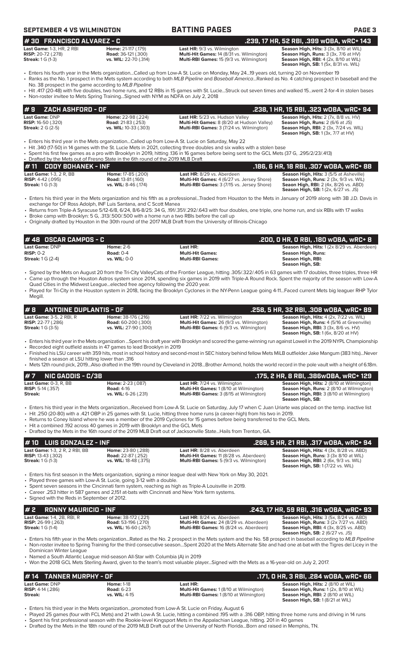| SEPTEMBER 4 VS WILMINGTOI |  |
|---------------------------|--|
|---------------------------|--|

## **SEPTEMBER 4 SEPTEMBER 4 VS WILLING PAGE 3**

**# 30 FRANCISCO ALVAREZ - C .239, 17 HR, 52 RBI, .399 wOBA, wRC+ 143**

**Season High, SB:** 1 (8/21 at WIL)

| 1# 30   FRANCISCO ALVAREZ - C                         |                                                       | .239, 17 HR, 52 RBI, .399 wOBA, wRC+ 143                                                                                                                  |                                                                               |  |  |  |
|-------------------------------------------------------|-------------------------------------------------------|-----------------------------------------------------------------------------------------------------------------------------------------------------------|-------------------------------------------------------------------------------|--|--|--|
| <b>Last Game: 1-3. HR. 2 RBI</b>                      | <b>Home: 21-117 (.179)</b>                            | <b>Last HR: 9/3 vs. Wilmington</b>                                                                                                                        | Season High, Hits: 3 (3x, 8/10 at WIL)                                        |  |  |  |
| <b>RISP:</b> 20-72 (.278)<br><b>Streak:</b> 1 G (1-3) | <b>Road:</b> 36-121 (.300)<br>vs. WIL: 22-70 (.314)   | Multi-Hit Games: 14 (8/31 vs. Wilmington)<br>Multi-RBI Games: 15 (9/3 vs. Wilmington)                                                                     | Season High, Runs: 3 (3x, 7/6 at HV)<br>Season High, RBI: 4 (2x, 8/10 at WIL) |  |  |  |
|                                                       |                                                       |                                                                                                                                                           | <b>Season High, SB: 1 (5x, 8/31 vs. WIL)</b>                                  |  |  |  |
|                                                       |                                                       | • Enters his fourth year in the Mets organizationCalled up from Low-A St. Lucie on Monday, May 2419 years old, turning 20 on November 19                  |                                                                               |  |  |  |
|                                                       |                                                       | • Ranks as the No. 1 prospect in the Mets system according to both MLB Pipeline and Baseball AmericaRanked as No. 4 catching prospect in baseball and the |                                                                               |  |  |  |
|                                                       | No. 38 prospect in the game according to MLB Pipeline |                                                                                                                                                           |                                                                               |  |  |  |

• Hit .417 (20-48) with five doubles, two home runs, and 12 RBIs in 15 games with St. Lucie...Struck out seven times and walked 15...went 2-for-4 in stolen bases • Non-roster invitee to Mets Spring Training...Signed with NYM as NDFA on July 2, 2018

| #9<br>ZACH ASHFORD - OF                            |                                                 |                                                                                      | .238, 1 HR, 15 RBI, .323 wOBA, wRC+ 94                                                             |
|----------------------------------------------------|-------------------------------------------------|--------------------------------------------------------------------------------------|----------------------------------------------------------------------------------------------------|
| <b>Last Game: DNP</b><br><b>RISP:</b> 16-50 (.320) | Home: 22-98 (.224)<br><b>Road:</b> 21-83 (.253) | Last HR: 5/23 vs. Hudson Valley<br><b>Multi-Hit Games:</b> 8 (8/20 at Hudson Valley) | <b>Season High, Hits:</b> $2$ ( $7x$ , $8/8$ vs. $HV$ )<br><b>Season High, Runs: 2 (6/6 at JS)</b> |
| <b>Streak:</b> 2 G (2-5)                           | vs. WIL: 10-33 (.303)                           | <b>Multi-RBI Games: 3 (7/24 vs. Wilmington)</b>                                      | <b>Season High, RBI:</b> 2 (3x, 7/24 vs. WIL)<br><b>Season High, SB:</b> 1 (3x, 7/7 at HV)         |

• Enters his third year in the Mets organization...Called up from Low-A St. Lucie on Saturday, May 22

• Hit .340 (17-50) in 14 games with the St. Lucie Mets in 2021, collecting three doubles and six walks with a stolen base

• Spent his first few games as a pro with Brooklyn in 2019, hitting .136 in 16 games before being sent to the GCL Mets (37 G, .295/2/23/.413)

Drafted by the Mets out of Fresno State in the 6th round of the 2019 MLB Draft<br>• 11 CODY BOHANEK - INF **# 11 CODY BOHANEK - INF**<br> **186, 6 HR, 18 RBI, .307 wOBA, wRC+ 88**<br> **RISP:** 4-42 (.095) Road: 13-81 (.160) Multi-Hit Games: 4 (6/27 vs. Jersey Shore) Season High, Rits: 3 (5/5 at Asheville) **Last Game:** 1-3, 2 R, BB **Home:** 17-85 (.200) **Last HR:** 8/29 vs. Aberdeen **Season High, Hits:** 3 (5/5 at Asheville) **RISP:** 4-42 (.095) **Road:** 13-81 (.160) **Multi-Hit Games:** 4 (6/27 vs. Jersey Shore) **Season High, Runs:** 2 (3x, 9/3 vs. WIL) **Streak:** 1 G (1-3) **vs. WIL:** 8-46 (.174) **Multi-RBI Games:** 3 (7/15 vs. Jersey Shore) **Seaon High, RBI:** 2 (4x, 8/26 vs. ABD) **Season High, SB:** 1 (2x, 6/27 vs. JS)

• Enters his third year in the Mets organization and his fifth as a professional...Traded from Houston to the Mets in January of 2019 along with 3B J.D. Davis in exchange for OF Ross Adolph, INF Luis Santana, and C Scott Manea

• Returns from Triple-A Syracuse 5/12-6/8, 6/24, 8/6-8/25: 34 G, .191/.351/.292/.643 with four doubles, one triple, one home run, and six RBIs with 17 walks • Broke camp with Brooklyn: 5 G, .313/.500/.500 with a home run a two RBIs before the call up

• Originally drafted by Houston in the 30th round of the 2017 MLB Draft from the University of Illinois-Chicago

| l# 48  OSCAR CAMPOS - C  |                     |                         | .200. 0 HR. 0 RBI. .180 w0BA. wRC+ 8               |
|--------------------------|---------------------|-------------------------|----------------------------------------------------|
| <b>Last Game: DNP</b>    | Home: $2-6$         | Last HR:                | <b>Season High, Hits: 1 (2x 8/29 vs. Aberdeen)</b> |
| $RISP: 0-2$              | Road: $0-4$         | <b>Multi-Hit Games:</b> | Season High, Runs:                                 |
| <b>Streak: 1 G (2-4)</b> | <b>vs. WIL:</b> 0-0 | <b>Multi-RBI Games:</b> | Season High, RBI:                                  |
|                          |                     |                         | Season High, SB:                                   |

• Signed by the Mets on August 20 from the Tri-City ValleyCats of the Frontier League, hitting .305/.322/.405 in 63 games with 17 doubles, three triples, three HR • Came up through the Houston Astros system since 2014, spending six games in 2019 with Triple-A Round Rock. Spent the majority of the season with Low-A Quad Cities in the Midwest League...elected free agency following the 2020 year.

• Played for Tri-City in the Houston system in 2018, facing the Brooklyn Cyclones in the NY-Penn League going 4-11...Faced current Mets big leaguer RHP Tylor Megill.

| $\#$ 8 ANTOINE DUPLANTIS - OF                                                            |                                                                                   |                                                                                                                                          | .258, 5 HR, 32 RBI, .308 w0BA, wRC+ 89                                                                                                                                                   |
|------------------------------------------------------------------------------------------|-----------------------------------------------------------------------------------|------------------------------------------------------------------------------------------------------------------------------------------|------------------------------------------------------------------------------------------------------------------------------------------------------------------------------------------|
| <b>Last Game:</b> 3-5. 2 RBI. R<br><b>RISP:</b> 22-77 (.286)<br><b>Streak:</b> 1 G (3-5) | <b>Home:</b> 38-176 (.216)<br><b>Road:</b> 60-200 (.300)<br>vs. WIL: 27-90 (.300) | <b>Last HR:</b> 7/22 vs. Wilmington<br><b>Multi-Hit Games: 26 (9/3 vs. Wilmington)</b><br><b>Multi-RBI Games:</b> 6 (9/3 vs. Wilmington) | Season High, Hits: 4 (2x, 7/22 vs. WIL)<br><b>Season High, Runs: 4 (5/16 at Greenville)</b><br><b>Season High, RBI:</b> 3 (3x, 8/6 vs. HV)<br><b>Season High, SB:</b> 1 (6x, 8/20 at HV) |
|                                                                                          |                                                                                   |                                                                                                                                          |                                                                                                                                                                                          |

• Enters his third year in the Mets organization ...Spent his draft year with Brooklyn and scored the game-winning run against Lowell in the 2019 NYPL Championship

• Recorded eight outfield assists in 47 games to lead Brooklyn in 2019

• Finished his LSU career with 359 hits, most in school history and second-most in SEC history behind fellow Mets MiLB outfielder Jake Mangum (383 hits)...Never finished a season at LSU hitting lower than .316

• Mets 12th round pick, 2019...Also drafted in the 19th round by Cleveland in 2018...Brother Armond, holds the world record in the pole vault with a height of 6.18m.

| $#7$ NIC GADDIS - C/3B       |                          |                                                | .175, 2 HR, 8 RBI, .386w0BA, wRC+ 129                               |
|------------------------------|--------------------------|------------------------------------------------|---------------------------------------------------------------------|
| <b>Last Game: 0-3, R, BB</b> | <b>Home: 2-23 (.087)</b> | <b>Last HR:</b> 7/24 vs. Wilmington            | <b>Season High, Hits: 2 (8/10 at Wilmington)</b>                    |
| <b>RISP: 5-14 (.357)</b>     | <b>Road: 4-16</b>        | <b>Multi-Hit Games: 1 (8/10 at Wilmington)</b> | <b>Season High, Runs:</b> 2 (8/10 at Wilmington)                    |
| Streak:                      | vs. WIL: 6-26 (.231)     | <b>Multi-RBI Games:</b> 3 (8/15 at Wilmington) | <b>Season High, RBI:</b> 3 (8/10 at Wilmington)<br>Season High, SB: |

• Enters his third year in the Mets organization...Received from Low-A St. Lucie on Saturday, July 17 when C Juan Uriarte was placed on the temp. inactive list • Hit .250 (20-80) with a .421 OBP in 25 games with St. Lucie, hitting three home runs (a career-high) from his two in 2019.

• Returns to Coney Island where he was a member of the 2019 Cyclones for 15 games before being transferred to the GCL Mets.

• Hit a combined .192 across 40 games in 2019 with Brooklyn and the GCL Mets

• Drafted by the Mets in the 16th round of the 2019 MLB Draft out of Jacksonville State...Hails from Trenton, GA.

| $#$ 10 LUIS GONZALEZ - INF                                                                     |                                                                          |                                                                                                                         | .269, 5 HR, 21 RBI, .317 wOBA, wRC+ 94                                                                                                                                       |
|------------------------------------------------------------------------------------------------|--------------------------------------------------------------------------|-------------------------------------------------------------------------------------------------------------------------|------------------------------------------------------------------------------------------------------------------------------------------------------------------------------|
| <b>Last Game:</b> 1-3, 2 R, 2 RBI, BB<br><b>RISP:</b> 13-43 (.302)<br><b>Streak:</b> 1 G (1-3) | Home: 23-80 (.288)<br><b>Road: 22-87 (.252)</b><br>vs. WIL: 18-48 (.375) | <b>Last HR:</b> 8/28 vs. Aberdeen<br>Multi-Hit Games: 11 (8/28 vs. Aberdeen)<br>Multi-RBI Games: 5 (9/3 vs. Wilmington) | <b>Season High, Hits: 4 (3x, 8/28 vs. ABD)</b><br>Season High, Runs: 3 (3x 8/10 at WIL)<br><b>Season High, RBI:</b> 2 (6x, 9/3 vs. WIL)<br>Season High, SB: 1 (7/22 vs. WIL) |
| • Played three games with Low-A St. Lucie, going 3-12 with a double.                           |                                                                          | • Enters his first season in the Mets organization, signing a minor league deal with New York on May 30, 2021.          |                                                                                                                                                                              |

- 
- Spent seven seasons in the Cincinnati farm system, reaching as high as Triple-A Louisville in 2019. • Career .253 hitter in 587 games and 2,151 at-bats with Cincinnati and New York farm systems.
- Signed with the Reds in September of 2012.

| # 2 RONNY MAURICIO - INF            |                            |                                                | .243, 17 HR, 59 RBI, .316 wOBA, wRC+ 93        |
|-------------------------------------|----------------------------|------------------------------------------------|------------------------------------------------|
| <b>Last Game: 1-4, 2B, RBI, R</b>   | <b>Home:</b> 38-172 (.221) | Last HR: 8/24 vs. Aberdeen                     | <b>Season High, Hits: 3 (5x, 8/24 vs. ABD)</b> |
| <b>RISP:</b> $26-99$ (.263)         | <b>Road:</b> 53-196 (.270) | <b>Multi-Hit Games: 24 (8/29 vs. Aberdeen)</b> | <b>Season High, Runs: 3 (2x 7/27 vs. ABD)</b>  |
| <b>Streak:</b> $1 \text{ G } (1-4)$ | vs. WIL: 16-60 (.267)      | <b>Multi-RBI Games: 16 (8/24 vs. Aberdeen)</b> | <b>Season High, RBI:</b> 4 (3x, 8/25 vs. ABD)  |
|                                     |                            |                                                | <b>Season High, SB: 2 (6/27 vs. JS)</b>        |

• Enters his fifth year in the Mets organization...Rated as the No. 2 prospect in the Mets system and the No. 58 prospect in baseball according to *MLB Pipeline* • Non-roster invitee to Spring Training for the third consecutive season...Spent 2020 at the Mets Alternate Site and had one at-bat with the Tigres del Licey in the Dominican Winter League

• Named a South Atlantic League mid-season All-Star with Columbia (A) in 2019

• Won the 2018 GCL Mets Sterling Award, given to the team's most valuable player...Signed with the Mets as a 16-year-old on July 2, 2017.

### **Last Game:** DNP **Home:** 1-18 **Last HR: Season High, Hits:** 2 (8/10 at WIL) **RISP:** 4-14 (.286) **Road:** 6-23 **Multi-Hit Games:** 1 (8/10 at Wilmington) **Season High, Runs:** 1 (2x, 8/10 at WIL) **Streak: vs. WIL:** 4-15 **Multi-RBI Games:** 1 (8/10 at Wilmington) **Season High, RBI:** 2 (8/10 at WIL) **# 14 TANNER MURPHY - OF .171, 0 HR, 3 RBI, .284 wOBA, wRC+ 66**<br>Last Game: DNP **.171, 0 Home: 1-18** Last HR: **.118 Cast Games: 1 (8/10 at Wilmington)** Season High, Hits: 2 (8/10 at WIL)<br>RISP: 4-14 (.286) Road: 6-23 Multi

• Enters his third year in the Mets organization...promoted from Low-A St. Lucie on Friday, August 6

• Played 25 games (four with FCL Mets) and 21 with Low-A St. Lucie, hitting a combined .195 with a .316 OBP, hitting three home runs and driving in 14 runs

• Spent his first professional season with the Rookie-level Kingsport Mets in the Appalachian League, hitting. 201 in 40 games

• Drafted by the Mets in the 18th round of the 2019 MLB Draft out of the University of North Florida...Born and raised in Memphis, TN.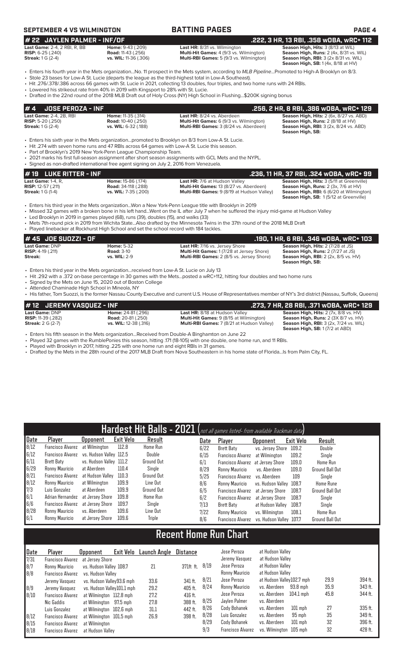## **SEPTEMBER 4 VS WILMINGTON BATTING PAGES PAGE 4**

# **# 22 JAYLEN PALMER - INF/OF .222, 3 HR, 13 RBI, .358 wOBA, wRC+ 112**

| <b>Last Game:</b> 2-4. 2 RBI. R. BB | <b>Home: 9-43 (.209)</b>     | <b>Last HR:</b> 8/31 vs. Wilmington            | <b>Season High, Hits: 3 (8/13 at WIL)</b>           |
|-------------------------------------|------------------------------|------------------------------------------------|-----------------------------------------------------|
| <b>RISP:</b> 6-25 (.240)            | <b>Road:</b> 11-43 (.256)    | <b>Multi-Hit Games:</b> 4 (9/3 vs. Wilmington) | <b>Season High, Runs: 2 (4x, 8/31 vs. WIL)</b>      |
| <b>Streak:</b> 1 G (2-4)            | <b>vs. WIL:</b> 11-36 (.306) | <b>Multi-RBI Games:</b> 5 (9/3 vs. Wilmington) | <b>Season High, RBI:</b> $3$ ( $2x$ $8/31$ vs. WIL) |
|                                     |                              |                                                | <b>Season High, SB:</b> $1(4x, 8/18$ at HV)         |
|                                     |                              |                                                |                                                     |

• Enters his fourth year in the Mets organization...No. 11 prospect in the Mets system, according to *MLB Pipeline*...Promoted to High-A Brooklyn on 8/3. • Stole 23 bases for Low-A St. Lucie (departs the league as the third-highest total in Low-A Southeast).

• Hit .276/.378/.386 across 66 games with St. Lucie in 2021, collecting 13 doubles, four triples, and two home runs with 24 RBIs.

• Lowered his strikeout rate from 40% in 2019 with Kingsport to 28% with St. Lucie.

• Drafted in the 22nd round of the 2018 MLB Draft out of Holy Cross (NY) High School in Flushing...\$200K signing bonus

| #4<br><b>JOSE PEROZA - INF</b>                                                                                                                                                                                                                                 |                                                                                |                                                                                                                                                                                                               | .256, 2 HR, 8 RBI, .386 wOBA, wRC+ 129                                                                                                            |  |  |  |  |  |
|----------------------------------------------------------------------------------------------------------------------------------------------------------------------------------------------------------------------------------------------------------------|--------------------------------------------------------------------------------|---------------------------------------------------------------------------------------------------------------------------------------------------------------------------------------------------------------|---------------------------------------------------------------------------------------------------------------------------------------------------|--|--|--|--|--|
| <b>Last Game: 2-4, 2B, RBI</b><br><b>RISP:</b> 5-20 $(.250)$<br><b>Streak:</b> $1 G (2-4)$                                                                                                                                                                     | <b>Home: 11-35 (.314)</b><br><b>Road: 10-40 (.250)</b><br>vs. WIL: 6-32 (.188) | Last HR: 8/24 vs. Aberdeen<br><b>Multi-Hit Games:</b> 6 (9/3 vs. Wilmington)<br><b>Multi-RBI Games:</b> 3 (8/24 vs. Aberdeen)                                                                                 | Season High, Hits: 2 (6x, 8/27 vs. ABD)<br>Season High, Runs: 2 (8/18 at HV)<br><b>Season High, RBI: 3 (2x, 8/24 vs. ABD)</b><br>Season High, SB: |  |  |  |  |  |
| • Hit .274 with seven home runs and 47 RBIs across 64 games with Low-A St. Lucie this season.<br>• Part of Brooklyn's 2019 New York-Penn League Championship Team.<br>· Signed as non-drafted international free agent signing on July 2, 2016 from Venezuela. |                                                                                | . Enters his sixth year in the Mets organizationpromoted to Brooklyn on 8/3 from Low-A St. Lucie.<br>• 2021 marks his first full-season assignment after short season assignments with GCL Mets and the NYPL. |                                                                                                                                                   |  |  |  |  |  |

## **RISP:** 12-57 (.211) **Road:** 34-118 (.288) **Multi-Hit Games:** 13 (8/27 vs. Aberdeen) **Season High, Runs:** 2 (3x, 7/6 at HV) **Streak:** 1 G (1-4) **vs. WIL:** 7-35 (.200) **Multi-RBI Games:** 9 (8/19 at Hudson Valley)

**# 19 LUKE RITTER - INF .236, 11 HR, 37 RBI, .324 wOBA, wRC+ 99 Last Game:** 1-4, R, **Home:** 15-86 (.174) **Last HR:** 7/6 at Hudson Valley **Season High, Hits:** 3 (5/11 at Greenville) **Richard Research Richard Research Richard Research Research Research Research Research Research Researc Season High, SB:** 1 (5/12 at Greenville)

• Enters his third year in the Mets organization...Won a New York-Penn League title with Brooklyn in 2019

• Missed 32 games with a broken bone in his left hand...Went on the IL after July 7 when he suffered the injury mid-game at Hudson Valley

• Led Brooklyn in 2019 in games played (68), runs (39), doubles (15), and walks (33)

• Mets 7th-round pick in 2019 from Wichita State...Also drafted by the Minnesota Twins in the 37th round of the 2018 MLB Draft

• Played linebacker at Rockhurst High School and set the school record with 184 tackles.

| # 45 JOE SUOZZI - OF                                             |                                                               |                                                                                                                                               | . 190, 1 HR, 6 RBI, .346 wOBA, wRC+ 103                                                                                                                 |
|------------------------------------------------------------------|---------------------------------------------------------------|-----------------------------------------------------------------------------------------------------------------------------------------------|---------------------------------------------------------------------------------------------------------------------------------------------------------|
| <b>Last Game: DNP</b><br><b>RISP:</b> $4-19$ $(.211)$<br>Streak: | <b>Home: 5-32</b><br><b>Road: 3-10</b><br><b>vs. WIL: 2-9</b> | <b>Last HR: 7/16 vs. Jersey Shore</b><br><b>Multi-Hit Games: 1 (7/28 at Jersey Shore)</b><br><b>Multi-RBI Games:</b> 2 (8/5 vs. Jersey Shore) | <b>Season High, Hits: 2 (7/28 at JS)</b><br><b>Season High, Runs: 2 (7/27 at JS)</b><br><b>Season High, RBI:</b> 2 (2x, 8/5 vs. HV)<br>Season High, SB: |

• Enters his third year in the Mets organization...received from Low-A St. Lucie on July 13

• Hit .292 with a .372 on-base percentage in 30 games with the Mets...posted a wRC+112, hitting four doubles and two home runs

Signed by the Mets on June 15, 2020 out of Boston College

• Attended Chaminade High School in Mineola, NY

• His father, Tom Suozzi, is the former Nassau County Executive and current U.S. House of Representatives member of NY's 3rd district (Nassau, Suffolk, Queens)

| #12 JEREMY VASQUEZ - INF  |                              |                                                   | .273, 7 HR, 28 RBI, .371 wOBA, wRC+ 129       |
|---------------------------|------------------------------|---------------------------------------------------|-----------------------------------------------|
| Last Game: DNP            | <b>Home:</b> 24-81 (.296)    | <b>Last HR: 8/18 at Hudson Valley</b>             | Season High, Hits: 2 (7x, 8/8 vs. HV)         |
| <b>RISP:</b> 11-39 (.282) | <b>Road:</b> 20-81(.250)     | <b>Multi-Hit Games:</b> 9 (8/15 at Wilmington)    | Season High, Runs: 2 (3X 8/7 vs. HV)          |
| <b>Streak:</b> 2 G (2-7)  | <b>vs. WIL:</b> 12-38 (.316) | <b>Multi-RBI Games:</b> 7 (8/21 at Hudson Valley) | <b>Season High, RBI:</b> 3 (2x, 7/24 vs. WIL) |
|                           |                              |                                                   | <b>Season High, SB:</b> 1(7/2 at ABD)         |

• Enters his fifth season in the Mets organization...Received from Double-A Binghamton on June 22

• Played 32 games with the RumblePonies this season, hitting .171 (18-105) with one double, one home run, and 11 RBIs.<br>• Played with Brooklyn in 2017 hitting 225 with one home run and eight RBIs in 31 games

Played with Brooklyn in 2017, hitting .225 with one home run and eight RBIs in 31 games.

• Drafted by the Mets in the 28th round of the 2017 MLB Draft from Nova Southeastern in his home state of Florida...Is from Palm City, FL.

|      |                                           |                         |           | Hardest Hit Balls - 2021 (not all games listed- from available Trackman data) |      |                                   |                         |           |                        |
|------|-------------------------------------------|-------------------------|-----------|-------------------------------------------------------------------------------|------|-----------------------------------|-------------------------|-----------|------------------------|
| Date | Player                                    | <b>Upponent</b>         | Exit Velo | Result                                                                        | Date | Player                            | <b>Opponent</b>         | Exit Velo | Result                 |
| 8/12 | Francisco Alvarez                         | at Wilmington           | 112.8     | <b>Home Run</b>                                                               | 6/22 | Brett Baty                        | vs. Jersey Shore        | 109.2     | Double                 |
| 6/12 | Francisco Alvarez vs. Hudson Valley 112.5 |                         |           | Double                                                                        | 6/15 | <b>Francisco Alvarez</b>          | at Wilmington           | 109.2     | Single                 |
| 6/11 | Brett Baty                                | vs. Hudson Valley 111.2 |           | <b>Ground Out</b>                                                             | 6/1  | Francisco Alvarez at Jersey Shore |                         | 109.0     | <b>Home Run</b>        |
| 6/29 | Ronny Mauricio                            | at Aberdeen             | 110.4     | Single                                                                        | 8/29 | Ronny Mauricio                    | vs. Aberdeen            | 109.0     | <b>Ground Ball Out</b> |
| 8/21 | <b>Francisco Alvarez</b> at Hudson Valley |                         | 110.3     | Ground Out                                                                    | 5/25 | Francisco Alvarez                 | vs. Aberdeen            | 109       | Single                 |
| 8/12 | Ronny Mauricio                            | at Wilmington           | 109.9     | Line Out                                                                      | 8/6  | Ronny Mauricio                    | vs. Hudson Valley 108.7 |           | <b>Home Rune</b>       |
| 7/3  | Luis Gonzalez                             | at Aberdeen             | 109.9     | Ground Out                                                                    | 6/5  | Francisco Alvarez                 | at Jersev Shore         | 108.7     | <b>Ground Ball Out</b> |
| 6/1  | Adrian Hernandez at Jersey Shore          |                         | 109.8     | <b>Home Run</b>                                                               | 6/2  | Francisco Alvarez                 | at Jersev Shore         | 108.7     | Single                 |
| 6/6  | Francisco Alvarez at Jersey Shore         |                         | 109.7     | Single                                                                        | 7/13 | Brett Baty                        | at Hudson Valley        | 108.7     | Single                 |
| 8/28 | Ronny Mauricio                            | vs. Aberdeen            | 109.6     | Line Out                                                                      | 7/22 | Ronny Mauricio                    | vs. Wilminaton          | 108.1     | <b>Home Run</b>        |
| 6/1  | Ronny Mauricio                            | at Jersey Shore         | 109.6     | Triple                                                                        | 8/6  | <b>Francisco Alvarez</b>          | vs. Hudson Vallev 107.7 |           | <b>Ground Ball Out</b> |

# **Recent Home Run Chart**

| Date | Player                   | Exit Velo<br><b>Opponent</b> | Launch Angle | Distance  |      | Jose Peroza              | at Hudson Valley          |             |      |         |
|------|--------------------------|------------------------------|--------------|-----------|------|--------------------------|---------------------------|-------------|------|---------|
| 7/31 | Francisco Alvarez        | at Jersev Shore              |              |           |      | Jeremy Vasquez           | at Hudson Valley          |             |      |         |
| 8/7  | Ronny Mauricio           | vs. Hudson Valley 108.7      | 21           | 371ft ft. | 8/19 | Jose Peroza              | at Hudson Valley          |             |      |         |
| B/B  | Francisco Alvarez        | vs. Hudson Vallev            |              |           |      | Ronny Mauricio           | at Hudson Valley          |             |      |         |
|      | Jeremy Vasquez           | vs. Hudson Valley93.6 mph    | 33.6         | 341 ft.   | 8/21 | Jose Peroza              | at Hudson Valley102.7 mph |             | 29.9 | 394 ft. |
| 8/9  | Jeremy Vasquez           | vs. Hudson Valley101.1 mph   | 29.2         | 405 ft.   | 8/24 | Ronny Mauricio           | vs. Aberdeen              | 93.8 mph    | 35.9 | 343 ft. |
| 8/10 | Francisco Alvarez        | at Wilmington 112.8 mph      | 27.2         | 416 ft.   |      | Jose Peroza              | vs. Aberdeen              | $104.1$ mph | 45.8 | 344 ft. |
|      | Nic Gaddis               | at Wilmington 97.5 mph       | 27.8         | 388 ft.   | 8/25 | Jaylen Palmer            | vs. Aberdeen              |             |      |         |
|      | Luis Gonzalez            | at Wilmington 102.6 mph      | 31.1         | 442 ft.   | 8/26 | Cody Bohanek             | vs. Aberdeen              | $101$ mph   | 27   | 335 ft. |
| 8/12 | Francisco Alvarez        | at Wilmington 101.5 mph      | 26.9         | 398 ft.   | 8/28 | Luis Gonzalez            | vs. Aberdeen              | 95 mph      | 35   | 349 ft. |
| 8/15 | <b>Francisco Alvarez</b> | at Wilmington                |              |           | 8/29 | Cody Bohanek             | vs. Aberdeen              | $101$ mph   | 32   | 396 ft. |
| 8/18 | <b>Francisco Alvarez</b> | at Hudson Valley             |              |           | 9/3  | <b>Francisco Alvarez</b> | vs. Wilmington 105 mph    |             | 32   | 428 ft. |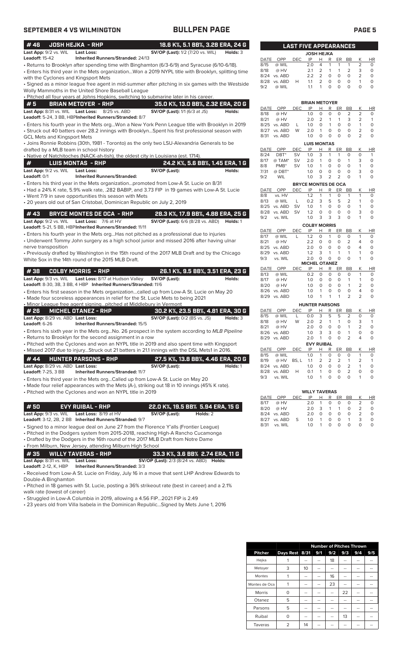|                                                    | <b>SEPTEMBER 4 VS WILMINGTON</b>                                                                | <b>BULLPEN PAGE</b>                                                                                                                                                                    |          |                              |                    |                                    |                             |                              |                         |                           |                                  |                                  | <b>PAGE 5</b>          |
|----------------------------------------------------|-------------------------------------------------------------------------------------------------|----------------------------------------------------------------------------------------------------------------------------------------------------------------------------------------|----------|------------------------------|--------------------|------------------------------------|-----------------------------|------------------------------|-------------------------|---------------------------|----------------------------------|----------------------------------|------------------------|
| #46                                                | <b>JOSH HEJKA - RHP</b>                                                                         | 18.6 K%, 5.1 BB%, 3.28 ERA, 24 G                                                                                                                                                       |          |                              |                    | <b>LAST FIVE APPEARANCES</b>       |                             |                              |                         |                           |                                  |                                  |                        |
| Last App: 9/2 vs. WIL                              | <b>Last Loss:</b>                                                                               | <b>SV/OP (Last):</b> 1/2 (7/20 vs. WIL)                                                                                                                                                | Holds: 3 |                              |                    |                                    | <b>JOSH HEJKA</b>           |                              |                         |                           |                                  |                                  |                        |
| <b>Leadoff: 15-42</b>                              | <b>Inherited Runners/Stranded: 24/13</b>                                                        |                                                                                                                                                                                        |          | DATE                         | OPP                | <b>DEC</b>                         | IP                          | Н                            | R                       | ER BB                     |                                  | Κ                                | HR                     |
|                                                    |                                                                                                 | · Returns to Brooklyn after spending time with Binghamton (6/3-6/9) and Syracuse (6/10-6/18).                                                                                          |          | 8/15                         | @ WIL              |                                    | 2.0                         | $\overline{4}$               | $\mathbf{1}$            | $\mathbf{1}$              | $\mathbf{1}$                     | $\overline{2}$                   | $\circ$                |
|                                                    |                                                                                                 | • Enters his third year in the Mets organizationWon a 2019 NYPL title with Brooklyn, splitting time                                                                                    |          | 8/18<br>8/24 vs. ABD         | @ HV               |                                    | 2.1<br>2.2                  | 2<br>2                       | $\mathbf{1}$<br>0       | $\mathbf{1}$<br>$\circ$   | $\overline{2}$<br>$\circ$        | 3<br>$\overline{2}$              | $\circ$<br>$\circ$     |
| with the Cyclones and Kingsport Mets               |                                                                                                 |                                                                                                                                                                                        |          | 8/28 vs. ABD                 |                    | H                                  | 1.1                         | 2                            | 0                       | $\circ$                   | $\mathsf O$                      | $\mathbf{1}$                     | $\circ$                |
|                                                    |                                                                                                 | • Signed as a minor league free agent in mid-summer after pitching in six games with the Westside                                                                                      |          | 9/2                          | @ WIL              |                                    | 1.1                         | $\mathbf{1}$                 | $\Omega$                | $\Omega$                  | $\Omega$                         | $\circ$                          | $\circ$                |
|                                                    | Wolly Mammoths in the United Shore Baseball League                                              |                                                                                                                                                                                        |          |                              |                    |                                    |                             |                              |                         |                           |                                  |                                  |                        |
|                                                    |                                                                                                 | . Pitched all four years at Johns Hopkins, switching to submarine later in his career.                                                                                                 |          |                              |                    |                                    | <b>BRIAN METOYER</b>        |                              |                         |                           |                                  |                                  |                        |
| #5                                                 | <b>BRIAN METOYER - RHP</b>                                                                      | 35.0 K%, 13.0 BB%, 2.32 ERA, 20 G                                                                                                                                                      |          | DATE                         | OPP                | <b>DEC</b>                         | IP                          | Н                            | R                       | ER                        | BB                               | К                                | HR                     |
|                                                    | Last App: 8/31 vs. WIL Last Loss: 8/25 vs. ABD                                                  | <b>SV/OP (Last):</b> 1/1 (6/3 at JS)                                                                                                                                                   | Holds:   | 8/18                         | @ HV               |                                    | 1.0                         | $\circ$                      | 0                       | $\circ$                   | 2                                | $\overline{2}$                   | $\circ$                |
|                                                    | Leadoff: 5-24, 3 BB, HBPInherited Runners/Stranded: 8/7                                         |                                                                                                                                                                                        |          | 8/21                         | @ HV               |                                    | 2.0                         | 2                            | $\mathbf{1}$            | $\mathbf{1}$              | 3                                | $\overline{2}$                   | $\mathbf{1}$           |
|                                                    |                                                                                                 | · Enters his fourth year in the Mets orgWon a New York Penn League title with Brooklyn in 2019                                                                                         |          | 8/25 vs. ABD                 |                    | L                                  | 1.0                         | $\circ$<br>$\overline{1}$    | $\mathbf{1}$<br>$\circ$ | $\circ$<br>$\circ$        | $\circ$<br>$\circ$               | $\mathbf{1}$                     | $\circ$<br>$\mathsf O$ |
|                                                    |                                                                                                 | • Struck out 40 batters over 28.2 innings with BrooklynSpent his first professional season with                                                                                        |          | 8/27<br>8/31                 | vs. ABD<br>vs. ABD | W                                  | 2.0<br>1.0                  | $\circ$                      | $\circ$                 | $\circ$                   | $\Omega$                         | $\overline{2}$<br>$\overline{2}$ | $\circ$                |
| <b>GCL Mets and Kingsport Mets</b>                 |                                                                                                 | • Joins Ronnie Robbins (30th, 1981 - Toronto) as the only two LSU-Alexandria Generals to be                                                                                            |          |                              |                    |                                    |                             |                              |                         |                           |                                  |                                  |                        |
| drafted by a MLB team in school history            |                                                                                                 |                                                                                                                                                                                        |          | DATE                         | OPP                | <b>DEC</b>                         | <b>LUIS MONTAS</b><br>IP    | н                            | R                       | ER                        | BB                               | K                                | <b>HR</b>              |
|                                                    | . Native of Natchitoches (NACK-ah-tish), the oldest city in Louisiana (est. 1714).              |                                                                                                                                                                                        |          | 8/24                         | DBT <sup>*</sup>   | <b>SV</b>                          | 1.0                         | 3                            | $\mathbf{1}$            | $\mathbf{1}$              | $\circ$                          | $\circ$                          | $\mathbf{1}$           |
| #                                                  | <b>LUIS MONTAS - RHP</b>                                                                        | 24.2 K%, 5.6 BB%, 1.45 ERA, 1 G                                                                                                                                                        |          | 8/17                         | @ TAM*             | <b>SV</b>                          | 2.0                         | $\mathbf{1}$                 | 0                       | $\circ$                   | $\mathbf{1}$                     | 3                                | $\circ$                |
|                                                    |                                                                                                 |                                                                                                                                                                                        |          | 8/8                          | PMB <sup>*</sup>   | <b>SV</b>                          | 1.0                         | $\mathbf{1}$                 | $\circ$                 | $\circ$                   | $\circ$                          | $\mathbf{1}$                     | $\circ$                |
| Last App: 9/2 vs. WIL<br>Leadoff: 0/1              | <b>Last Loss:</b><br><b>Inherited Runners/Stranded:</b>                                         | SV/OP (Last):                                                                                                                                                                          | Holds:   | 7/31                         | $@$ DBT*           |                                    | 1.0<br>1.0                  | $\circ$<br>3                 | $\circ$<br>2            | $\circ$<br>$\overline{2}$ | $\circ$<br>$\Omega$              | 3<br>1                           | $\circ$<br>$\circ$     |
|                                                    |                                                                                                 |                                                                                                                                                                                        |          | 9/2                          | WIL                |                                    |                             |                              |                         |                           |                                  |                                  |                        |
|                                                    |                                                                                                 | • Enters his third year in the Mets organizationpromoted from Low-A St. Lucie on 8/31<br>• Had a 24% K rate, 5.9% walk rate, .282 BABIP, and 3.73 FIP in 19 games with Low-A St. Lucie |          | DATE                         | OPP                | <b>BRYCE MONTES DE OCA</b><br>DEC. | IP                          | H                            | R                       | ER                        | BB                               | К                                | HR                     |
|                                                    | • Went 7/9 in save opportunities this season with Mets                                          |                                                                                                                                                                                        |          | 8/8                          | vs. HV             |                                    | 1.2                         | $\mathbf{1}$                 | 1                       | $\circ$                   | $\mathbf{1}$                     | $\mathbf{1}$                     | $\circ$                |
|                                                    | • 20 years old out of San Cristobal, Dominican Republic on July 2, 2019                         |                                                                                                                                                                                        |          | 8/13                         | @ WIL              | L                                  | 0.2                         | 3                            | 5                       | 5                         | $\overline{2}$                   | 1                                | $\circ$                |
|                                                    |                                                                                                 |                                                                                                                                                                                        |          | 8/25 vs. ABD                 |                    | <b>SV</b>                          | 1.0                         | $\mathbf{1}$                 | $\circ$                 | $\circ$                   | $\circ$                          | $\mathbf{1}$                     | $\circ$                |
| #43                                                | <b>BRYCE MONTES DE OCA - RHP</b>                                                                | 28.3 K%, 17.9 BB%, 4.88 ERA, 25 G                                                                                                                                                      |          |                              | 8/28 vs. ABD       | <b>SV</b>                          | 1.2                         | $\circ$                      | 0                       | $\circ$                   | $\circ$                          | 3                                | $\mathsf O$            |
| Last App: 9/2 vs. WIL                              | Last Loss: 7/6 at HV                                                                            | <b>SV/OP (Last):</b> 6/6 (8/28 vs. ABD)                                                                                                                                                | Holds: 1 | 9/2                          | vs. WIL            |                                    | 1.0                         | 3                            | 3                       | 3                         | $\circ$                          | $\mathbf{1}$                     | $\circ$                |
|                                                    | Leadoff: 5-21, 5 BB, HBPInherited Runners/Stranded: 11/11                                       |                                                                                                                                                                                        |          |                              |                    |                                    | <b>COLBY MORRIS</b>         |                              |                         |                           |                                  |                                  |                        |
|                                                    |                                                                                                 | • Enters his fourth year in the Mets org Has not pitched as a professional due to injuries                                                                                             |          | DATE<br>8/17                 | OPP<br>@ WIL       | DEC<br>L                           | IP<br>1.2                   | н<br>$\circ$                 | R<br>$\mathbf{1}$       | ER<br>$\circ$             | BB<br>$\circ$                    | К<br>$\mathbf{1}$                | <b>HR</b><br>$\circ$   |
|                                                    |                                                                                                 | • Underwent Tommy John surgery as a high school junior and missed 2016 after having ulnar                                                                                              |          | 8/21                         | @ HV               |                                    | 2.2                         | $\circ$                      | $\circ$                 | $\circ$                   | $\overline{2}$                   | $\overline{4}$                   | $\circ$                |
| nerve transposition                                |                                                                                                 |                                                                                                                                                                                        |          | 8/25 vs. ABD                 |                    |                                    | 2.0                         | $\circ$                      | $\circ$                 | $\circ$                   | $\circ$                          | 4                                | $\circ$                |
|                                                    |                                                                                                 | • Previously drafted by Washington in the 15th round of the 2017 MLB Draft and by the Chicago                                                                                          |          | 8/29 vs. ABD                 |                    |                                    | 1.2                         | 3                            | $\mathbf{1}$            | $\mathbf{1}$              | $\mathbf{1}$                     | $\mathbf{1}$                     | $\mathsf O$            |
|                                                    | White Sox in the 14th round of the 2015 MLB Draft.                                              |                                                                                                                                                                                        |          | 9/3                          | vs. WIL            |                                    | 2.0<br><b>MICHEL OTANEZ</b> | $\circ$                      | $\Omega$                | $\circ$                   | $\Omega$                         | 1                                | $\circ$                |
|                                                    |                                                                                                 |                                                                                                                                                                                        |          | DATE                         | OPP                | <b>DEC</b>                         | IP                          | Н                            | R                       | ER                        | <b>BB</b>                        | K                                | <b>HR</b>              |
| #38                                                | <b>COLBY MORRIS - RHP</b>                                                                       | 26.1 K%, 9.5 BB%, 3.51 ERA, 23 G                                                                                                                                                       |          | 8/13                         | @ WIL              |                                    | 0.2                         | 0                            | $\circ$                 | $\circ$                   | 0                                | 1                                | 0                      |
| Last App: 9/3 vs. WIL                              | Last Loss: 8/17 at Hudson Valley                                                                | SV/OP (Last):                                                                                                                                                                          | Holds:   | 8/17                         | @ HV               |                                    | 1.0                         | $\circ$                      | $\circ$                 | $\circ$                   | $\mathbf{1}$                     | 1                                | $\circ$                |
|                                                    | Leadoff: 8-30, 3B, 3 BB, 4 HBP Inherited Runners/Stranded: 11/6                                 |                                                                                                                                                                                        |          | 8/20                         | @ HV               |                                    | 1.0                         | $\circ$                      | $\circ$                 | $\circ$                   | $\mathbf{1}$                     | $\overline{2}$                   | $\circ$                |
|                                                    |                                                                                                 | • Enters his first season in the Mets organizationcalled up from Low-A St. Lucie on May 20                                                                                             |          | 8/26 vs. ABD<br>8/29 vs. ABD |                    |                                    | 1.0<br>1.0                  | $\mathbf{1}$<br>$\mathbf{1}$ | O<br>$\mathbf{1}$       | $\circ$<br>$\mathbf{1}$   | $\mathsf O$<br>2                 | $\overline{4}$<br>$\overline{2}$ | $\circ$<br>$\mathsf O$ |
|                                                    |                                                                                                 | • Made four scoreless appearances in relief for the St. Lucie Mets to being 2021                                                                                                       |          |                              |                    |                                    |                             |                              |                         |                           |                                  |                                  |                        |
|                                                    | . Minor League free agent signingpitched at Middlebury in Vermont<br><b>MICHEL OTANEZ - RHP</b> | 30.2 K%, 23.5 BB%, 4.81 ERA, 30 G                                                                                                                                                      |          | DATE                         | OPP                | DEC                                | <b>HUNTER PARSONS</b><br>IP | н                            | R                       | <u>ER</u>                 | <b>BB</b>                        | Κ                                | HR                     |
| # 26                                               |                                                                                                 |                                                                                                                                                                                        |          | 8/15                         | @ WIL              | L                                  | 0.0                         | 3                            | 5                       | 5                         | 2                                | 0                                | 0                      |
| Last App: 8/29 vs. ABD Last Loss:<br>Leadoff: 6-26 | Inherited Runners/Stranded: 15/5                                                                | <b>SV/OP (Last):</b> 0/2 (BS vs. JS)                                                                                                                                                   | Holds: 3 | 8/18                         | @ HV               | W                                  | 2.0                         | $\overline{2}$               | $\mathbf{1}$            | 1                         | 0                                | 3                                | $\mathbf{1}$           |
|                                                    |                                                                                                 |                                                                                                                                                                                        |          | 8/21                         | @ HV               |                                    | 2.0                         | $\circ$                      | 0                       | $\mathsf O$               | 1                                | 2                                | $\circ$                |
|                                                    | • Returns to Brooklyn for the second assignment in a row                                        | • Enters his sixth year in the Mets orgNo. 26 prospect in the system according to MLB Pipeline                                                                                         |          | 8/26 vs. ABD                 |                    |                                    | 1.0                         | 3                            | 3                       | 0                         | $\mathbf{1}$                     | 0                                | $\circ$                |
|                                                    |                                                                                                 | • Pitched with the Cyclones and won an NYPL title in 2019 and also spent time with Kingsport                                                                                           |          | 8/29 vs. ABD                 |                    |                                    | 2.0<br><b>EVY RUIBAL</b>    | $\overline{1}$               | 0                       | $\circ$                   | $\overline{2}$                   | 4                                | $\circ$                |
|                                                    |                                                                                                 | • Missed 2017 due to injuryStruck out 21 batters in 21.1 innings with the DSL Mets1 in 2016.                                                                                           |          | DATE                         | OPP                | <b>DEC</b>                         | IP                          | н                            | R                       | ER                        | BB                               | Κ                                | HR                     |
|                                                    |                                                                                                 |                                                                                                                                                                                        |          | 8/15                         | @ WIL              |                                    | 1.0                         | 1                            | 0                       | 0                         | 0                                | 1                                | 0                      |
| #44                                                | <b>HUNTER PARSONS - RHP</b>                                                                     | 27.5 K%, 13.8 BB%, 4.46 ERA, 20 G                                                                                                                                                      |          | 8/19                         | @ HV               | BS, L                              | 1.1                         | 2                            | 2                       | $\overline{2}$            | $\mathbf{1}$                     | 2                                | $\mathbf{1}$           |
| Last App: 8/29 vs. ABD Last Loss:                  |                                                                                                 | SV/OP (Last):                                                                                                                                                                          | Holds: 1 | 8/24 vs. ABD                 |                    |                                    | 1.0                         | $\circ$                      | 0                       | $\circ$                   | $\overline{2}$<br>$\overline{2}$ | 1<br>0                           | $\circ$                |
| Leadoff: 7-25, 3 BB                                | <b>Inherited Runners/Stranded: 11/7</b>                                                         |                                                                                                                                                                                        |          | 8/28 vs. ABD<br>9/3          | vs. WIL            | H                                  | 0.1<br>1.0                  | 1<br>1                       | 0<br>0                  | 0<br>$\circ$              | $\circ$                          | 1                                | 0<br>$\circ$           |
|                                                    |                                                                                                 | • Enters his third year in the Mets orgCalled up from Low-A St. Lucie on May 20                                                                                                        |          |                              |                    |                                    |                             |                              |                         |                           |                                  |                                  |                        |
|                                                    |                                                                                                 | • Made four relief appearances with the Mets (A-), striking out 18 in 10 innings (45% K rate).                                                                                         |          |                              |                    |                                    |                             |                              |                         |                           |                                  |                                  |                        |
|                                                    | • Pitched with the Cyclones and won an NYPL title in 2019                                       |                                                                                                                                                                                        |          | DATE                         | OPP                | DEC                                | <b>WILLY TAVERAS</b><br>IP  | н                            | $\mathsf{R}$            | ER                        | BB                               | Κ                                | HR                     |
|                                                    |                                                                                                 |                                                                                                                                                                                        |          | 8/17                         | @ HV               |                                    | 2.0                         | $\mathbf{1}$                 | 0                       | 0                         | 0                                | $\overline{2}$                   | 0                      |
| #50                                                | <b>EVY RUIBAL - RHP</b>                                                                         | 22.0 K%, 19.5 BB% 5.94 ERA, 15 G                                                                                                                                                       |          | 8/20                         | @ HV               |                                    | 2.0                         | 3                            | $\mathbf{1}$            | 1                         | 0                                | 2                                | $\mathsf O$            |
| Last App: 9/3 vs. WIL                              | Last Loss: 8/19 at HV                                                                           | Holds: 2<br>SV/OP (Last):                                                                                                                                                              |          | 8/24 vs. ABD                 |                    |                                    | 2.0                         | 0                            | 0<br>$\circ$            | $\circ$                   | 0                                | 2                                | 0                      |
|                                                    | Leadoff: 3-12, 2B, 2 BB Inherited Runners/Stranded: 9/7                                         |                                                                                                                                                                                        |          |                              | 8/27 vs. ABD S     |                                    | 1.0                         | $\overline{1}$               |                         | $\overline{0}$            | $\overline{1}$                   | 3                                | $\mathsf O$            |

- Signed to a minor league deal on June 27 from the Florence Y'alls (Frontier League) • Pitched in the Dodgers system from 2015-2018, reaching High-A Rancho Cucamonga
- 

• Drafted by the Dodgers in the 16th round of the 2017 MLB Draft from Notre Dame

• From Milburn, New Jersey, attending Milburn High School  **33.3 K%, 3.6 BB% 2.74 ERA, 11 G<br><b>SV/OP** (Last): 2/3 (8/24 vs. ABD) Holds: **Last App:** 8/31 vs. WIL **Last Loss: SV/OP (Last):** 2/3 (8/24 vs. ABD) **Holds:**

**Leadoff:** 2-12, K, HBP **Inherited Runners/Stranded:** 3/3

• Received from Low-A St. Lucie on Friday, July 16 in a move that sent LHP Andrew Edwards to Double-A Binghamton

• Pitched in 18 games with St. Lucie, posting a 36% strikeout rate (best in career) and a 2.1% walk rate (lowest of career)

• Struggled in Low-A Columbia in 2019, allowing a 4.56 FIP...2021 FIP is 2.49

• 23 years old from Villa Isabela in the Dominican Republic...Signed by Mets June 1, 2016

|                | <b>Number of Pitches Thrown</b> |          |     |     |     |     |     |  |  |
|----------------|---------------------------------|----------|-----|-----|-----|-----|-----|--|--|
| <b>Pitcher</b> | Days Rest 8/31                  |          | 9/1 | 9/2 | 9/3 | 9/4 | 9/5 |  |  |
| Hejka          |                                 | --       |     | 18  |     |     |     |  |  |
| Metoyer        | 10                              |          |     |     |     |     |     |  |  |
| Montes         |                                 | 16<br>-- |     |     |     |     |     |  |  |
| Montes de Oca  |                                 | --       | --  | 23  | --  | --  |     |  |  |
| <b>Morris</b>  | O                               | --       | --  | --  | 22  | --  |     |  |  |
| Otanez         | 5                               |          |     |     |     |     |     |  |  |
| Parsons        | 5                               | --       | --  | --  | --  | --  |     |  |  |
| Ruibal         | O                               | --       | --  | --  | 13  | --  |     |  |  |
| Taveras        | $\overline{2}$                  | 14       |     |     |     |     |     |  |  |

8/31 vs. WIL 1.0 1 0 0 0 0 0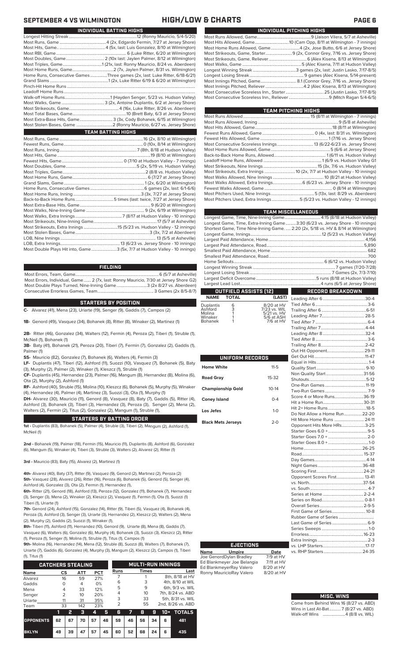| INDIVIDUAL PITCHING HIGHS                                                 |
|---------------------------------------------------------------------------|
|                                                                           |
|                                                                           |
| Most Home Runs Allowed, Game4 (2x, Jose Butto, 6/6 at Jersey Shore)       |
| Most Strikeouts, Game, Starter 9 (2x, Connor Grey, 7/16 vs. Jersey Shore) |
|                                                                           |
|                                                                           |
|                                                                           |
|                                                                           |
|                                                                           |
|                                                                           |
|                                                                           |
|                                                                           |

| TEAM PITCHING HIGHS                                                       |  |
|---------------------------------------------------------------------------|--|
|                                                                           |  |
|                                                                           |  |
|                                                                           |  |
|                                                                           |  |
|                                                                           |  |
|                                                                           |  |
|                                                                           |  |
|                                                                           |  |
|                                                                           |  |
|                                                                           |  |
|                                                                           |  |
|                                                                           |  |
| Most Walks Allowed, Extra Innings 6 (6/23 vs. Jersey Shore - 10 innings)  |  |
|                                                                           |  |
|                                                                           |  |
| Most Pitchers Used, Extra Innings 5 (5/23 vs. Hudson Valley - 12 innings) |  |
|                                                                           |  |

| <b>TEAM MISCELLANEOUS</b>                                                          |                  |
|------------------------------------------------------------------------------------|------------------|
| Longest Game, Time, Nine-Inning Game 4:15 (8/18 at Hudson Valley)                  |                  |
| Longest Game, Time, Extra-Inning Game3:30 (6/23 vs. Jersey Shore - 10 innings)     |                  |
| Shortest Game, Time Nine-Inning Game.  2:20 (2x, 5/18 vs. HV & 8/14 at Wilmington) |                  |
|                                                                                    |                  |
|                                                                                    |                  |
|                                                                                    |                  |
|                                                                                    |                  |
|                                                                                    |                  |
|                                                                                    |                  |
|                                                                                    |                  |
|                                                                                    |                  |
|                                                                                    |                  |
|                                                                                    |                  |
| <b>OUTFIELD ASSISTS [12]</b>                                                       | RECORD BREAKDOWN |

### **OUTFIELD ASSISTS (12) TOTAL** Leading After 6........................................30-4

|  | <b>Duplantis</b><br>Ashford<br>Molina<br>Winaker<br><b>Bohanek</b> | 6<br>3 | 8/20 at HV<br>7/23 vs. WIL<br>5/21 vs. HV<br>5/6 at ASH<br>7/6 at HV |
|--|--------------------------------------------------------------------|--------|----------------------------------------------------------------------|
|--|--------------------------------------------------------------------|--------|----------------------------------------------------------------------|

| UNIFORM RECORDS           |              |  |  |  |  |  |  |  |
|---------------------------|--------------|--|--|--|--|--|--|--|
| <b>Home White</b>         | $11 - 5$     |  |  |  |  |  |  |  |
| <b>Road Gray</b>          | $15-32$      |  |  |  |  |  |  |  |
| <b>Championship Gold</b>  | $10 - 14$    |  |  |  |  |  |  |  |
| <b>Coney Island</b>       | $0 - 4$      |  |  |  |  |  |  |  |
| Los Jefes                 | $1 - \Omega$ |  |  |  |  |  |  |  |
| <b>Black Mets Jerseys</b> | $2 - 0$      |  |  |  |  |  |  |  |

| Score 4 or More Runs 36-19   |  |
|------------------------------|--|
|                              |  |
|                              |  |
| Do Not Allow a Home Run22-20 |  |
| Hit More Home Runs  24-11    |  |
| Opponent Hits More HRs3-25   |  |
|                              |  |
|                              |  |
|                              |  |
|                              |  |
|                              |  |
|                              |  |
|                              |  |
|                              |  |
| Opponent Scores First 13-41  |  |
|                              |  |
|                              |  |
|                              |  |
|                              |  |
|                              |  |
|                              |  |
|                              |  |
| Last Game of Series  6-9     |  |
|                              |  |
|                              |  |
|                              |  |
|                              |  |
|                              |  |
|                              |  |

### **MISC. WINS**

| Come from Behind Wins 16 (8/27 vs. ABD) |
|-----------------------------------------|
| Wins in Last At-Bat7 (8/27 vs. ABD)     |
|                                         |

| INDIVIDUAL BATTING HIGHS                                                    |
|-----------------------------------------------------------------------------|
|                                                                             |
|                                                                             |
|                                                                             |
|                                                                             |
|                                                                             |
|                                                                             |
|                                                                             |
| Home Runs, Consecutive Games Three games (2x, last: Luke Ritter, 6/18-6/21) |
|                                                                             |
|                                                                             |
|                                                                             |

Walk-off Home Runs...........................................1 (Hayden Senger, 5/23 vs. Hudson Valley) Most Walks, Game ........................................ 3 (2x, Antoine Duplantis, 6/2 at Jersey Shore) Most Strikeouts, Game............................................... 4 (16x, Luke Ritter, 8/26 vs. Aberdeen) Most Total Bases, Game...................................................10 (Brett Baty, 6/3 at Jersey Shore) Most Extra-Base Hits, Game............................... 3 (3x, Cody Bohanek, 6/15 at Wilmington) 2 (Ronny Mauricio, 6/27 vs. Jersey Shore)

| TEAM BATTING HIGHS                                                        |  |  |  |  |  |  |  |
|---------------------------------------------------------------------------|--|--|--|--|--|--|--|
|                                                                           |  |  |  |  |  |  |  |
|                                                                           |  |  |  |  |  |  |  |
|                                                                           |  |  |  |  |  |  |  |
|                                                                           |  |  |  |  |  |  |  |
|                                                                           |  |  |  |  |  |  |  |
|                                                                           |  |  |  |  |  |  |  |
|                                                                           |  |  |  |  |  |  |  |
|                                                                           |  |  |  |  |  |  |  |
|                                                                           |  |  |  |  |  |  |  |
|                                                                           |  |  |  |  |  |  |  |
|                                                                           |  |  |  |  |  |  |  |
|                                                                           |  |  |  |  |  |  |  |
|                                                                           |  |  |  |  |  |  |  |
|                                                                           |  |  |  |  |  |  |  |
|                                                                           |  |  |  |  |  |  |  |
|                                                                           |  |  |  |  |  |  |  |
|                                                                           |  |  |  |  |  |  |  |
|                                                                           |  |  |  |  |  |  |  |
|                                                                           |  |  |  |  |  |  |  |
|                                                                           |  |  |  |  |  |  |  |
| Most Double Plays Hit into, Game3 (5x, 7/7 at Hudson Valley - 10 innings) |  |  |  |  |  |  |  |

### **FIELDING**

Most Errors, Team, Game...............................................................................6 (5/7 at Asheville) Most Errors, Individual, Game....... 2 (7x, last: Ronny Mauricio, 7/30 at Jersey Shore G2) Most Double Plays Turned, Nine-Inning Game.............................3 (2x 8/27 vs. Aberdeen) Consecutive Errorless Games, Team...

### **STARTERS BY POSITION**

**C-** Alvarez (41), Mena (23), Uriarte (19), Senger (9), Gaddis (7), Campos (2)

**1B-** Genord (49), Vasquez (34), Bohanek (8), Ritter (8), Winaker (2), Martinez (1)

**2B-** Ritter (46), Gonzalez (34), Walters (12), Fermin (4), Peroza (2), Tiberi (1), Struble (1), McNeil (1), Bohanek (1)

**3B-** Baty (41), Bohanek (21), Peroza (20), Tiberi (7), Fermin (7), Gonzalez (2), Gaddis (1), Palmer (1)

**SS-** Mauricio (82), Gonzalez (7), Bohanek (6), Walters (4), Fermin (3)

**LF-** Duplantis (47), Tiberi (12), Ashford (11), Suozzi (10), Vasquez (7), Bohanek (5), Baty (3), Murphy (2), Palmer (2), Winaker (1), Kleszcz (1), Struble (1)

**CF-** Duplantis (45), Hernandez (23), Palmer (16), Mangum (8), Hernandez (8), Molina (6), Ota (2), Murphy (2), Ashford (1)

**RF-** Ashford (40), Struble (15), Molina (10), Kleszcz (6), Bohanek (5), Murphy (5), Winaker (4), Hernandez (4), Palmer (4), Martinez (3), Suozzi (3), Ota (1), Murphy (1)

**DH-** Alvarez (30), Mauricio (11), Genord (8), Vasquez (8), Baty (7), Gaddis (5), Ritter (4), Ashford (3), Bohanek (3), Tiberi (3), Hernandez (3), Peroza (3), Senger (2), Mena (2), Walters (2), Fermin (2), Titus (2), Gonzalez (2), Mangum (1), Struble (1),

### **STARTERS BY BATTING ORDER**

**1st -** Duplantis (83), Bohanek (5), Palmer (4), Struble (3), Tiberi (2), Mangum (2), Ashford (1), McNeil (1)

**2nd -** Bohanek (19), Palmer (18), Fermin (15), Mauricio (11), Duplantis (8), Ashford (6), Gonzalez (6), Mangum (5), Winaker (4), Tiberi (3), Struble (3), Walters (2), Alvarez (2), Ritter (1)

**3rd -** Mauricio (83), Baty (15), Alvarez (2), Martinez (1)

**4th-** Alvarez (40), Baty (37), Ritter (9), Vasquez (9), Genord (2), Martinez (2), Peroza (2) **5th-** Vasquez (28), Alvarez (26), Ritter (16), Peroza (6), Bohanek (5), Genord (5), Senger (4), Ashford (4), Gonzalez (3), Ota (2), Fermin (1), Hernandez (1),

**6th-** Ritter (21), Genord (18), Ashford (13), Peroza (12), Gonzalez (11), Bohanek (7), Hernandez (3), Senger (3), Mena (2), Winaker (2), Kleszcz (2), Vasquez (1), Fermin (1), Ota (1), Suozzi (1) Tiberi (1), Uriarte (1)

**7th-** Genord (24), Ashford (15), Gonzalez (14), Ritter (9), Tiberi (5), Vasquez (4), Bohanek (4), Peroza (3), Ashford (3), Senger (3), Uriarte (3), Hernandez (2), Kleszcz (2), Walters (2), Mena (2), Murphy (2), Gaddis (2), Suozzi (1), Winaker (1),

**8th-** Tiberi (11), Ashford (11), Hernandez (10), Genord (9), Uriarte (8), Mena (8), Gaddis (7), Vasquez (6), Walters (6), Gonzalez (6), Murphy (4), Bohanek (3), Suozzi (3), Kleszcz (2), Ritter (1), Peroza (1), Senger (1), Molina (1), Struble (1), Titus (1), Campos (1)

**9th-** Molina (16), Hernandez (14), Mena (12), Struble (8), Suozzi (8), Walters (7), Bohanek (7), Uriarte (7), Gaddis (6), Gonzalez (4), Murphy (3), Mangum (2), Kleszcz (2), Campos (1), Tiberi  $(4)$ , Titus (1)

| 11, 110311               |               |    |            |            |    |                          |    |              |    |                   |                   |  |
|--------------------------|---------------|----|------------|------------|----|--------------------------|----|--------------|----|-------------------|-------------------|--|
| <b>CATCHERS STEALING</b> |               |    |            |            |    | <b>MULTI-RUN INNINGS</b> |    |              |    |                   |                   |  |
| <b>Name</b>              | CS            |    | <b>ATT</b> | <b>PCT</b> |    | <b>Runs</b>              |    | <b>Times</b> |    | Last              |                   |  |
| Alvarez                  | 16            |    | 59         | 27%        |    |                          |    |              |    |                   | 8th, 8/18 at HV   |  |
| Gaddis                   | $\Omega$      |    | 4          | 0%         |    | 6                        |    | 3            |    |                   | 4th, 8/10 at WIL  |  |
| Mena                     | 4             |    | 33         | 12%        |    | 5                        |    | 9            |    | 6th, 9/3 vs. WIL  |                   |  |
| Senger                   | $\mathcal{P}$ |    | 10         | 20%        |    | 4                        |    | 10           |    | 7th, 8/24 vs. ABD |                   |  |
| Uriarte                  | 11            |    | 31         | 35%        |    | 3                        |    | 33           |    |                   | 5th, 8/31 vs. WIL |  |
| Team                     | 33            |    | 142<br>23% |            |    | $\overline{2}$           |    | 55           |    |                   | 2nd, 8/26 vs. ABD |  |
|                          | 1             | 2  | з          | 4          | 5  | 6                        | 77 | 8            | 9  | $10+$             | <b>TOTALS</b>     |  |
| <b>OPPONENTS</b>         | 62            | 67 | 70         | 57         | 46 | 59                       | 46 | 56           | 34 | 6                 | 481               |  |
| <b>BKLYN</b>             | 49            | 39 | 47         | 57         | 45 | 60                       | 52 | 68           | 24 | 6                 | 435               |  |

**Name Umpire Date** Joe GenordDylan Bradley 7/9 at HV Ed Blankmeyer Joe Belangia 7/11 at HV Ed BlankmeyerRay Valero 8/20 at HV<br>Ronny MauricioRay Valero 8/20 at HV Ronny MauricioRay Valero **EJECTIONS**

## **SEPTEMBER 4 VS WILMINGTON HIGH/LOW & CHARTS PAGE 6**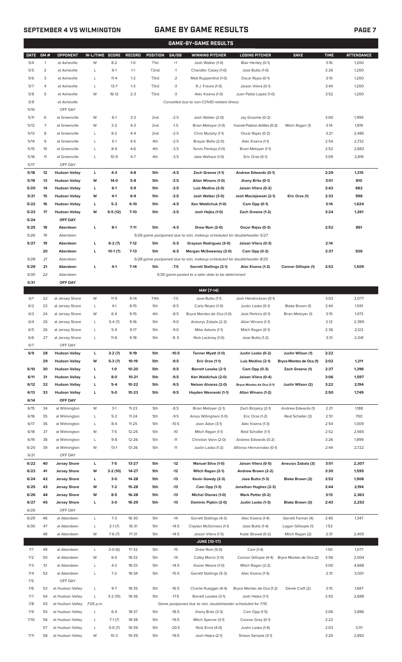## **SEPTEMBER 4 VS WILMINGTON GAME BY GAME RESULTS PAGE 7**

|             | <b>GAME-BY-GAME RESULTS</b> |                      |                |           |               |                  |         |                                                                         |                               |                         |             |                   |
|-------------|-----------------------------|----------------------|----------------|-----------|---------------|------------------|---------|-------------------------------------------------------------------------|-------------------------------|-------------------------|-------------|-------------------|
| <b>DATE</b> | GM#                         | <b>OPPONENT</b>      | W-L/TIME SCORE |           | <b>RECORD</b> | POSITION         | GA/GB   | <b>WINNING PITCHER</b>                                                  | <b>LOSING PITCHER</b>         | <b>SAVE</b>             | <b>TIME</b> | <b>ATTENDANCE</b> |
| 5/4         | $\mathbf{1}$                | at Asheville         | W              | $8 - 2$   | $1 - 0$       | T <sub>1st</sub> | $+1$    | Josh Walker (1-0)                                                       | Blair Henley (0-1)            |                         | 3:16        | 1,200             |
| 5/5         | 2                           | at Asheville         | L              | $6-1$     | $1 - 1$       | T <sub>2nd</sub> | $-1$    | Chandler Casey (1-0)                                                    | Jose Butto (1-0)              |                         | 3:26        | 1,200             |
| 5/6         | 3                           | at Asheville         | L              | $11 - 4$  | $1 - 2$       | T3rd             | $-2$    | Matt Ruppenthal (1-0)                                                   | Oscar Rojas (0-1)             |                         | 3:10        | 1,200             |
| 5/7         | 4                           | at Asheville         | L              | $13 - 7$  | $1 - 3$       | T3rd             | -3      | R.J. Freure (1-0)                                                       | Jaison Vilera (0-1)           |                         | 3:44        | 1,200             |
| 5/8         | 5                           | at Asheville         | W              | $16-12$   | $2 - 3$       | T3rd             | -3      | Alec Kisena (1-0)                                                       | Juan Pablo Lopez (1-0)        |                         | 3:52        | 1,200             |
| 5/9         |                             | at Asheville         |                |           |               |                  |         |                                                                         |                               |                         |             |                   |
|             |                             |                      |                |           |               |                  |         | Cancelled due to non-COVID-related illness                              |                               |                         |             |                   |
| 5/10        |                             | OFF DAY              |                |           |               |                  |         |                                                                         |                               |                         |             |                   |
| 5/11        | 6                           | at Greenville        | W              | $6-1$     | $3-3$         | 2 <sub>nd</sub>  | $-2.5$  | Josh Walker (2-0)                                                       | Jay Groome (0-2)              |                         | 3:00        | 1,995             |
| 5/12        | 7                           | at Greenville        | W              | $3-2$     | $4 - 3$       | 2 <sub>nd</sub>  | $-1.5$  | Brian Metoyer (1-0)                                                     | Yusniel Padron-Artilles (0-2) | Mitch Ragan (1)         | 3:14        | 1,819             |
| 5/13        | 8                           | at Greenville        | L              | $8 - 2$   | $4 - 4$       | 2 <sub>nd</sub>  | $-2.5$  | Chris Murphy (1-1)                                                      | Oscar Rojas (0-2)             |                         | 3:21        | 2,485             |
| 5/14        | 9                           | at Greenville        | L              | $5-1$     | $4 - 5$       | 4th              | $-2.5$  | Brayan Bello (2-0)                                                      | Alec Kisena (1-1)             |                         | 2:54        | 2,732             |
| 5/15        | 10                          | at Greenville        | L              | $8 - 4$   | $4-6$         | 4th              | $-3.5$  | Yorvin Pantoja (1-0)                                                    | Brian Metoyer (1-1)           |                         | 2:52        | 2,883             |
| 5/16        | 11                          | at Greenville        | L              | $10-9$    | $4 - 7$       | 4th              | $-3.5$  | Jake Wallace (1-0)                                                      | Eric Orze (0-1)               |                         | 3:09        | 2,818             |
| 5/17        |                             | OFF DAY              |                |           |               |                  |         |                                                                         |                               |                         |             |                   |
| 5/18        | 12                          | <b>Hudson Valley</b> | г              | 4-3       | $4 - 8$       | 5th              | $-4.5$  | Zach Greene (1-1)                                                       | Andrew Edwards (0-1)          |                         | 2:29        | 1,315             |
| 5/19        | 13                          | <b>Hudson Valley</b> | W              | 14-0      | $5-8$         | 5th              | $-3.5$  | Allan Winans (1-0)                                                      | Jhony Brito (0-1)             |                         | 3:01        | 810               |
| 5/20        | 14                          | <b>Hudson Valley</b> | г              | $6-1$     | $5-9$         | 5th              | $-3.5$  | Luis Medina (2-0)                                                       | Jaison Vilera (0-2)           |                         | 2:42        | 682               |
| 5/21        | 15                          | <b>Hudson Valley</b> | W              | $4-1$     | $6-9$         | 5th              | $-3.5$  | Josh Walker (3-0)                                                       | Josh Maciejewski (2-1)        | Eric Orze (1)           | 2:33        | 998               |
| 5/22        | 16                          | <b>Hudson Valley</b> | г              | $5-3$     | $6-10$        | 5th              | $-4.5$  | Ken Waldichuk (1-0)                                                     | Cam Opp (0-1)                 |                         | 3:14        | 1,624             |
| 5/23        | 17                          | <b>Hudson Valley</b> | W              | $6-5(12)$ | $7 - 10$      | 5th              | $-3.5$  | Josh Hejka (1-0)                                                        | Zach Greene (1-2)             |                         | 3:24        | 1,261             |
| 5/24        |                             | OFF DAY              |                |           |               |                  |         |                                                                         |                               |                         |             |                   |
| 5/25        | 18                          | Aberdeen             | г              | $8-1$     | $7 - 11$      | 5th              | $-4.5$  | Drew Rom (2-0)                                                          | Oscar Rojas (0-3)             |                         | 2:52        | 861               |
| 5/26        | 19                          | Aberdeen             |                |           |               |                  |         | 5/26 game postponed due to rain, makeup scheduled for doubleheader 5/27 |                               |                         |             |                   |
| 5/27        | 19                          | Aberdeen             | г              | $6-2(7)$  | $7-12$        | 5th              | $-5.5$  | Grayson Rodriguez (3-0)                                                 | Jaison Vilera (0-3)           |                         | 2:14        |                   |
|             | 20                          | Aberdeen             | г              | $10-1(7)$ | $7-13$        | 5th              | $-6.5$  | Morgan McSweeney (2-0)                                                  | Cam Opp (0-2)                 |                         | 2:37        | 926               |
| 5/28        | 21                          | Aberdeen             |                |           |               |                  |         | 5/28 game postponed due to rain, makeup scheduled for doubleheader 8/25 |                               |                         |             |                   |
| 5/29        | 21                          | Aberdeen             | г              | $4 - 1$   | $7-14$        | 5th              | $-7.5$  | <b>Garrett Stallings (3-1)</b>                                          | Alec Kisena (1-2)             | Connor Gillispie (1)    | 2:52        | 1,509             |
| 5/30        | 22                          | Aberdeen             |                |           |               |                  |         | 5/30 game posted to a later date to be determined                       |                               |                         |             |                   |
| 5/31        |                             | OFF DAY              |                |           |               |                  |         |                                                                         |                               |                         |             |                   |
|             |                             |                      |                |           |               |                  |         | MAY [7-14]                                                              |                               |                         |             |                   |
| 6/1         | 22                          | at Jersey Shore      | W              | $11-5$    | $8-14$        | T4th             | $-7.5$  | Jose Butto (1-1)                                                        | Josh Hendrickson (0-1)        |                         | 3:03        | 2,077             |
| 6/2         | 23                          | at Jersey Shore      | L              | $4-1$     | $8 - 15$      | 5th              | $-8.5$  | Carlo Reyes (1-0)                                                       | Justin Lasko (0-1)            | Blake Brown (1)         | 2:44        | 1,591             |
| 6/3         | 24                          | at Jersey Shore      | W              | $6 - 4$   | $9 - 15$      | 4th              | $-8.5$  | Bryce Montes de Oca (1-0)                                               | Jack Perkins (0-1)            | Brian Metoyer (1)       | 3:15        | 1,473             |
| 6/4         | 25                          | at Jersey Shore      | L              | $5-4(7)$  | $9 - 16$      | 5th              | $-9.0$  | Aneurys Zabala (2-2)                                                    | Allan Winans (1-1)            |                         | 2:12        | 2,399             |
| 6/5         | 26                          | at Jersey Shore      | L              | $5 - 4$   | $9-17$        | 5th              | $-9.0$  | Mike Adams (1-1)                                                        | Mitch Ragan (0-1)             |                         | 2:36        | 2,122             |
| 6/6         | 27                          | at Jersey Shore      | L              | $11-6$    | $9-18$        | 5th              | $-9.5$  | Nick Lackney (1-0)                                                      | Jose Butto (1-2)              |                         | 3:31        | 2,041             |
| 6/7         |                             | OFF DAY              |                |           |               |                  |         |                                                                         |                               |                         |             |                   |
| 6/9         | 28                          | <b>Hudson Valley</b> | г              | $3-2(7)$  | $9-19$        | 5th              | $-10.5$ | Tanner Myatt (1-0)                                                      | Justin Lasko (0-2)            | Justin Wilson (1)       | 2:22        |                   |
|             | 29                          | <b>Hudson Valley</b> | W              | $5-3(7)$  | 10-19         | 5th              | $-9.5$  | Eric Orze (1-1)                                                         | Luis Medina (2-1)             | Bryce Montes de Oca (1) | 2:02        | 1,211             |
| 6/10        | 30                          | <b>Hudson Valley</b> | г              | $1 - 0$   | 10-20         | 5th              | $-9.5$  | <b>Barrett Loseke (2-1)</b>                                             | Cam Opp (0-3)                 | Zach Greene (1)         | 2:37        | 1,396             |
| 6/11        | 31                          | <b>Hudson Valley</b> | г              | 8-0       | $10 - 21$     | 5th              | $-9.5$  | Ken Waldichuk (2-0)                                                     | Jaison Vilera (0-4)           |                         | 3:06        | 1,597             |
| 6/12        | 32                          | <b>Hudson Valley</b> | г              | $5 - 4$   | 10-22         | 5th              | $-9.5$  | Nelson Alvarez (2-0)                                                    | Bryce Montes de Oca (1-1)     | Justin Wilson (2)       | 3:22        | 2,194             |
| 6/13        | 33                          | <b>Hudson Valley</b> | г              | 5-0       | $10 - 23$     | 5th              | $-9.5$  | Hayden Wesneski (1-1)                                                   | Allan Winans (1-2)            |                         | 2:50        | 1,749             |
| 6/14        |                             | OFF DAY              |                |           |               |                  |         |                                                                         |                               |                         |             |                   |
| 6/15        | 34                          | at Wilmington        | W              | $3-1$     | $11 - 23$     | 5th              | $-8.5$  | Brian Metoyer (2-1)                                                     | Zach Brzykcy (2-1)            | Andrew Edwards (1)      | 2:21        | 1,188             |
| 6/16        | 35                          | at Wilmington        | L              | $5 - 2$   | $11 - 24$     | 5th              | $-9.5$  | Amos Willingham (1-0)                                                   | Eric Orze (1-2)               | Reid Schaller (3)       | 2:51        | 700               |
| 6/17        | 36                          | at Wilmington        | L              | $8 - 4$   | $11 - 25$     | 5th              | $-10.5$ | Joan Adon (3-1)                                                         | Alec Kisena (1-3)             |                         | 2:54        | 1,009             |
| 6/18        | 37                          | at Wilmington        | W              | $7-5$     | $12 - 25$     | 5th              | $-10$   | Mitch Ragan (1-1)                                                       | Reid Schaller (1-1)           |                         | 2:52        | 2,565             |
| 6/19        | 38                          | at Wilmington        | L              | $9 - 8$   | 12-26         | 5th              | $-11$   | Christian Vann (2-0)                                                    | Andrew Edwards (0-2)          |                         | 3:26        | 1,899             |
| 6/20        | 39                          | at Wilmington        | W              | $13-1$    | 13-26         | 5th              | $-11$   | Justin Lasko (1-2)                                                      | Alfonso Hernanndez (0-1)      |                         | 2:44        | 2,722             |
| 6/21        |                             | OFF DAY              |                |           |               |                  |         |                                                                         |                               |                         |             |                   |
| 6/22        | 40                          | <b>Jersey Shore</b>  | г              | $7-5$     | 13-27         | 5th              | $-12$   | <b>Manuel Silva (1-0)</b>                                               | Jaison Vilera (0-5)           | Aneurys Zabala (3)      | 3:01        | 2,307             |
| 6/23        | 41                          | <b>Jersey Shore</b>  | W              | $3-2(10)$ | 14-27         | 5th              | -12     | Mitch Ragan (2-1)                                                       | Andrew Brown (2-2)            |                         | 3:30        | 1,595             |
| 6/24        | 42                          | <b>Jersey Shore</b>  | г              | $3-0$     | 14-28         | 5th              | $-13$   | Kevin Gowdy (2-3)                                                       | Jose Butto (1-3)              | Blake Brown (2)         | 2:52        | 1,906             |
| 6/25        | 43                          | <b>Jersey Shore</b>  | W              | $7-2$     | 15-28         | 5th              | $-13$   | Cam Opp (1-3)                                                           | Jonathan Hughes (2-3)         |                         | 2:44        | 2,194             |
|             | 44                          | <b>Jersey Shore</b>  | W              | $8 - 5$   | 16-28         | 5th              | $-13$   | <b>Michel Otanez (1-0)</b>                                              | Mark Potter (0-2)             |                         | 3:13        | 2,363             |
| 6/26        |                             |                      |                |           |               |                  |         |                                                                         |                               |                         |             |                   |
| 6/27        | 45                          | <b>Jersey Shore</b>  | г              | $3-0$     | 16-29         | 5th              | $-13$   | Dominic Pipkin (2-0)                                                    | Justin Lasko (1-3)            | Blake Brown (3)         | 2:43        | 2,253             |
| 6/28        |                             | OFF DAY              |                |           |               |                  |         |                                                                         |                               |                         |             |                   |
| 6/29        | 46                          | at Aberdeen          | L              | $7-3$     | 16-30         | 5th              | $-14$   | Garrett Stallings (4-3)                                                 | Alec Kisena (1-4)             | Garrett Farmer (4)      | 2:40        | 1,347             |
| 6/30        | 47                          | at Aberdeen          | L              | $2-1(7)$  | 16-31         | 5th              | $-14.5$ | Clayton McGinness (1-1)                                                 | Jose Butto (1-4)              | Logan Gillaspie (1)     | 1:53        |                   |
|             | 48                          | at Aberdeen          | W              | $7-6(7)$  | $17 - 31$     | 5th              | $-14.5$ | Jaison Vilera (1-5)                                                     | Kade Strowd (0-2)             | Mitch Ragan (2)         | 2:31        | 2,405             |
|             |                             |                      |                |           |               |                  |         | <b>JUNE [10-17]</b>                                                     |                               |                         |             |                   |
| $7/1$       | 49                          | at Aberdeen          | L              | $2-0(6)$  | 17-32         | 5th              | $-15$   | Drew Rom (5-0)                                                          | Cam (1-4)                     |                         | 1:50        | 1,077             |
| 7/2         | 50                          | at Aberdeen          | W              | $6 - 5$   | 18-32         | 5th              | $-14$   | Colby Morris (1-0)                                                      | Connor Gillispie (4-4)        | Bryce Montes de Oca (2) | 3:56        | 2,004             |
| 7/3         | 51                          | at Aberdeen          | L              | $4 - 3$   | 18-33         | 5th              | $-14.5$ | Xavier Moore (1-0)                                                      | Mitch Ragan (2-2)             |                         | 3:00        | 4,668             |
| 7/4         | 52                          | at Aberdeen          | L              | $7 - 2$   | 18-34         | 5th              | $-15.5$ | Garrett Stallings (5-3)                                                 | Alec Kisena (1-5)             |                         | 2:31        | 3,001             |
| 7/5         |                             | OFF DAY              |                |           |               |                  |         |                                                                         |                               |                         |             |                   |
| 7/6         | 53                          | at Hudson Valley     | L              | $9 - 7$   | 18-35         | 5th              | $-16.5$ | Charlie Ruegger (4-4)                                                   | Bryce Montes de Oca (1-2)     | Derek Craft (2)         | 3:15        | 1,687             |
| 7/7         | 54                          | at Hudson Valley     | L              | $3-2(10)$ | 18-36         | 5th              | $-17.5$ | Barrett Loseke (3-1)                                                    | Josh Hejka (1-1)              |                         | 2:55        | 2,688             |
| 7/8         | 55                          | at Hudson Valley     | 7:05 p.m.      |           |               |                  |         | Game postponed due to rain, doubleheader scheduled for 7/10             |                               |                         |             |                   |
| 7/9         | 55                          | at Hudson Valley     | L              | $6 - 4$   | 18-37         | 5th              | $-18.5$ | Jhony Brito (3-3)                                                       | Cam Opp (1-5)                 |                         | 3:06        | 3,896             |
| 7/10        | 56                          | at Hudson Valley     | L              | $7-1(7)$  | 18-38         | 5th              | $-19.5$ | Mitch Spence (3-1)                                                      | Connor Grey (0-1)             |                         | 2:22        |                   |
|             | 57                          | at Hudson Valley     | L              | $5-0(7)$  | 18-39         | 5th              | $-20.5$ |                                                                         |                               |                         | 2:03        | 3,111             |

7/11 58 at Hudson Valley W 10-3 19-39 5th -19.5 Josh Hejka (2-1) Shawn Semple (3-1) 3:20 2,892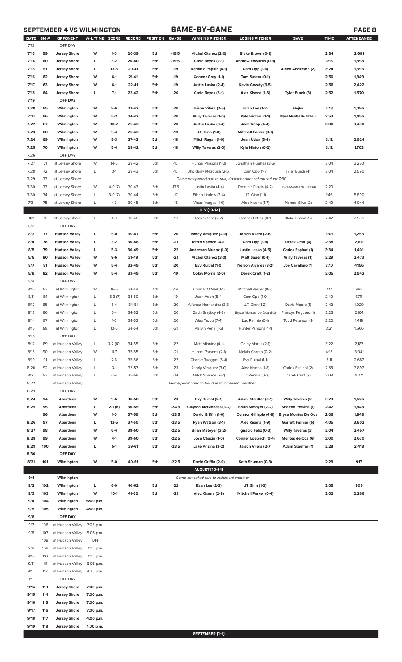## **SEPTEMBER 4 VS WILMINGTON GAME-BY-GAME PAGE 8**

| <b>DATE</b> | <b>GM#</b> | OPPONENT             | W-L/TIME SCORE |           | <b>RECORD</b> | POSITION | <b>GA/GB</b> | <b>WINNING PITCHER</b>                                      | LOSING PITCHER               | <b>SAVE</b>                | <b>TIME</b> | <b>ATTENDANCE</b> |
|-------------|------------|----------------------|----------------|-----------|---------------|----------|--------------|-------------------------------------------------------------|------------------------------|----------------------------|-------------|-------------------|
| 7/12        |            | OFF DAY              |                |           |               |          |              |                                                             |                              |                            |             |                   |
| 7/13        | 59         | <b>Jersey Shore</b>  | W              | $1-0$     | 20-39         | 5th      | $-19.5$      | Michel Otanez (2-0)                                         | Blake Brown (0-1)            |                            | 2:34        | 2,681             |
| 7/14        | 60         | <b>Jersey Shore</b>  | L              | $3-2$     | 20-40         | 5th      | $-19.5$      | Carlo Reyes (2-1)                                           | Andrew Edwards (0-3)         |                            | 3:13        | 1,898             |
| 7/15        | 61         | <b>Jersey Shore</b>  | г              | $13-3$    | 20-41         | 5th      | $-19$        | Dominic Popkin (4-1)                                        | Cam Opp (1-6)                | Aiden Anderson (2)         | 3:24        | 1,595             |
| 7/16        | 62         | <b>Jersey Shore</b>  | W              | 6-1       | 21-41         | 5th      | -19          | Connor Grey (1-1)                                           | Tom Sutera (0-1)             |                            | 2:50        | 1,949             |
| 7/17        | 63         | <b>Jersey Shore</b>  | W              | $6 - 1$   | 22-41         | 5th      | -19          | Justin Lasko (2-4)                                          | Kevin Gowdy (3-5)            |                            | 2:56        | 2,422             |
| 7/18        | 64         | <b>Jersey Shore</b>  | г              | $7-1$     | 22-42         | 5th      | $-20$        | Carlo Reyes (3-1)                                           | Alec Kisena (1-6)            | Tyler Burch (3)            | 2:52        | 1,570             |
| 7/19        |            | OFF DAY              |                |           |               |          |              |                                                             |                              |                            |             |                   |
| 7/20        | 65         | Wilmington           | W              | $8-6$     | 23-42         | 5th      | $-20$        | Jaison Vilera (2-5)                                         | Evan Lee (1-3)               | Hejka                      | 3:18        | 1,086             |
| 7/21        | 66         | Wilmington           | W              | $5-3$     | 24-42         | 5th      | $-20$        | <b>Willy Taveras (1-0)</b>                                  | Kyle Hinton (0-1)            | Bryce Montes de Oca (3)    | 2:53        | 1,456             |
| 7/22        | 67         | Wilmington           | W              | $10-2$    | 25-42         | 5th      | -20          | Justin Lasko (3-4)                                          | Alex Troop (4-4)             |                            | 3:00        | 3,430             |
| 7/23        | 68         | Wilmington           | W              | $5-4$     | 26-42         | 5th      | $-19$        | J.T. Ginn (1-0)                                             | <b>Mitchell Parker (0-1)</b> |                            |             |                   |
| 7/24        | 69         | Wilmington           | W              | $8-3$     | 27-42         | 5th      | $-18$        | Mitch Ragan (1-0)                                           | Joan Udon (3-4)              |                            | 3:12        | 2,924             |
|             |            |                      |                |           |               |          |              |                                                             |                              |                            |             |                   |
| 7/25        | 70         | Wilmington           | W              | $5-4$     | 28-42         | 5th      | $-18$        | <b>Willy Taveras (2-0)</b>                                  | Kyle Hinton (0-2)            |                            | 3:12        | 1,703             |
| 7/26        |            | OFF DAY              |                |           |               |          |              |                                                             |                              |                            |             |                   |
| 7/27        | 71         | at Jersey Shore      | W              | $14 - 5$  | 29-42         | 5th      | $-17$        | Hunter Parsons (1-0)                                        | Jonathan Hughes (3-5)        |                            | 3:04        | 3,270             |
| 7/28        | 72         | at Jersey Shore      | L              | $3-1$     | 29-43         | 5th      | $-17$        | Jhordany Mezquita (2-5)                                     | Cam Opp (1-7)                | Tyler Burch (4)            | 3:04        | 2,590             |
| 7/29        | 73         | at Jersey Shore      |                |           |               |          |              | Game postponed due to rain, doubleheader scheduled for 7/30 |                              |                            |             |                   |
| 7/30        | 73         | at Jersey Shore      | W              | $4-0(7)$  | 30-43         | 5th      | $-17.5$      | Justin Lasko (4-4)                                          | Dominic Pipkin (4-2)         | Bryce Montes de Oca (4)    | 2:20        |                   |
| 7/30        | 74         | at Jersey Shore      | L              | $3-0(7)$  | 30-44         | 5th      | $-17$        | Ethan Lindow (3-4)                                          | J.T. Ginn (1-1)              |                            | 1:46        | 5,890             |
| 7/31        | 75         | at Jersey Shore      | L              | $4 - 3$   | 30-45         | 5th      | $-18$        | Victor Vargas (1-0)                                         | Alec Kisena (1-7)            | Manuel Silva (2)           | 2:49        | 4,044             |
|             |            |                      |                |           |               |          |              | JULY [13-14]                                                |                              |                            |             |                   |
| 8/1         | 76         | at Jersey Shore      | L              | $4 - 3$   | 30-46         | 5th      | $-19$        | Tom Sutera (2-2)                                            | Conner O'Neil (0-1)          | Blake Brown (5)            | 2:42        | 2,535             |
| 8/2         |            | OFF DAY              |                |           |               |          |              |                                                             |                              |                            |             |                   |
| 8/3         | 77         | <b>Hudson Valley</b> | г              | 5-0       | 30-47         | 5th      | -20          | Randy Vasquez (2-0)                                         | Jaison Vilera (2-6)          |                            | 3:01        | 1,253             |
| 8/4         | 78         | <b>Hudson Valley</b> | г              | $3-2$     | 30-48         | 5th      | $-21$        | Mitch Spence (4-2)                                          | Cam Opp (1-8)                | Derek Craft (4)            | 2:58        | 2,611             |
| 8/5         | 79         | <b>Hudson Valley</b> | г              | $5-3$     | 30-49         | 5th      | $-22$        | Anderson Munoz (1-0)                                        | Justin Lasko (4-5)           | Carlos Espinal (1)         | 3:34        | 1,401             |
| 8/6         | 80         | <b>Hudson Valley</b> | W              | $9-6$     | 31-49         | 5th      | $-21$        | <b>Michel Otanez (3-0)</b>                                  | Matt Sauer (0-1)             | <b>Willy Taveras (1)</b>   | 3:29        | 2,473             |
| 8/7         | 81         | <b>Hudson Valley</b> | W              | $5-4$     | 32-49         | 5th      | $-20$        | Evy Ruibal (1-0)                                            | <b>Nelson Alvarez (3-2)</b>  | Joe Cavallaro (1)          | 3:10        | 4,156             |
|             |            |                      |                |           |               |          |              |                                                             |                              |                            |             |                   |
| 8/8         | 82         | <b>Hudson Valley</b> | W              | $5-4$     | 33-49         | 5th      | $-19$        | Colby Morris (2-0)                                          | Derek Craft (1-2)            |                            | 3:05        | 2,942             |
| 8/9         |            | OFF DAY              |                |           |               |          |              |                                                             |                              |                            |             |                   |
| 8/10        | 83         | at Wilmington        | W              | $16 - 5$  | 34-49         | 4th      | $-19$        | Conner O'Neil (1-1)                                         | Mitchell Parker (0-3)        |                            | 3:51        | 985               |
| 8/11        | 84         | at Wilmington        | L              | $15-3(7)$ | 34-50         | 5th      | $-19$        | Joan Adon (5-4)                                             | Cam Opp (1-9)                |                            | 2:40        | 1,711             |
| 8/12        | 85         | at Wilmington        | L              | $5 - 4$   | 34-51         | 5th      | $-20$        | Alfonso Hernandez (3-3)                                     | J.T. Ginn (1-2)              | Davis Moore (1)            | 2:42        | 1,029             |
| 8/13        | 86         | at Wilmington        | L              | $7 - 4$   | 34-52         | 5th      | $-20$        | Zach Brzykcy (4-3)                                          | Bryce Montes de Oca (1-3)    | Francys Peguero (1)        | 3:25        | 2,164             |
| 8/14        | 87         | at Wilmington        | L              | $1-0$     | 34-53         | 5th      | $-20$        | Alex Troop (7-4)                                            | Luc Rennie (0-1)             | Todd Peterson (1)          | 2:20        | 1,419             |
| 8/15        | 88         | at Wilmington        | L              | $12 - 5$  | 34-54         | 5th      | $-21$        | Malvin Pena (1-3)                                           | Hunter Parsons (1-1)         |                            | 3:21        | 1,666             |
| 8/16        |            | OFF DAY              |                |           |               |          |              |                                                             |                              |                            |             |                   |
| 8/17        | 89         | at Hudson Valley     | L              | $3-2(10)$ | 34-55         | 5th      | $-22$        | Matt Minnick (4-1)                                          | Colby Morris (2-1)           |                            | 3:22        | 2,187             |
| 8/18        | 90         | at Hudson Valley     | W              | $11 - 7$  | 35-55         | 5th      | $-21$        | Hunter Parsons (2-1)                                        | Nelvin Correa (0-2)          |                            | 4:15        | 3,041             |
| 8/19        | 91         | at Hudson Valley     | L              | $7-6$     | 35-56         | 5th      | $-22$        | Charlie Ruegger (5-4)                                       | Evy Ruibal (1-1)             |                            | 3:11        | 2,687             |
| 8/20        | 92         | at Hudson Valley     | L              | $3-1$     | 35-57         | 5th      | $-23$        | Randy Vasquez (3-0)                                         | Alec Kisena (1-8)            | Carlos Espinal (2)         | 2:58        | 3,897             |
| 8/21        | 93         | at Hudson Valley     | L              | $6 - 4$   | 35-58         | 5th      | $-24$        | Mitch Spence (7-2)                                          | Luc Rennie (0-2)             | Derek Craft (7)            | 3:08        | 4,071             |
| 8/22        |            | at Hudson Valley     |                |           |               |          |              | Game postponed to 9/8 due to inclement weather              |                              |                            |             |                   |
| 8/23        |            | OFF DAY              |                |           |               |          |              |                                                             |                              |                            |             |                   |
|             | 94         |                      |                |           |               |          |              |                                                             |                              |                            |             | 1,626             |
| 8/24        |            | Aberdeen             | W              | $9-6$     | 36-58         | 5th      | $-23$        | Evy Ruibal (2-1)                                            | <b>Adam Stauffer (0-1)</b>   | <b>Willy Tavares (2)</b>   | 3:29        |                   |
| 8/25        | 95         | Aberdeen             | L              | $2-1(8)$  | 36-59         | 5th      | $-24.5$      | <b>Clayton McGinness (3-2)</b>                              | <b>Brian Metoyer (2-2)</b>   | <b>Shelton Perkins (1)</b> | 2:42        | 1,848             |
|             | 96         | Aberdeen             | W              | $1-0$     | 37-59         | 5th      | $-23.5$      | David Griffin (1-0)                                         | Connor Gillispie (4-8)       | <b>Bryce Montes De Oca</b> | 2:06        | 1,848             |
| 8/26        | 97         | Aberdeen             | L              | $12 - 5$  | 37-60         | 5th      | $-23.5$      | Ryan Watson (3-1)                                           | Alec Kisena (1-9)            | <b>Garrett Farmer (6)</b>  | 4:05        | 3,602             |
| 8/27        | 98         | Aberdeen             | W              | $6 - 4$   | 38-60         | 5th      | $-22.5$      | <b>Brian Metoyer (3-2)</b>                                  | Ignacio Feliz (0-3)          | <b>Willy Taveras (3)</b>   | 3:04        | 2,457             |
| 8/28        | 99         | Aberdeen             | W              | 4-1       | 39-60         | 5th      | $-22.5$      | Jose Chacin (1-0)                                           | Conner Loeprich (0-4)        | Montes de Oca (6)          | 3:00        | 2,670             |
| 8/29        | 100        | Aberdeen             | г              | $5-1$     | 39-61         | 5th      | $-23.5$      | Jake Prizina (3-2)                                          | Jaison Vilera (2-7)          | Adam Stauffer (1)          | 3:28        | 2,418             |
| 8/30        |            | OFF DAY              |                |           |               |          |              |                                                             |                              |                            |             |                   |
| 8/31        | 101        | Wilmington           | W              | $5-0$     | 40-61         | 5th      | $-22.5$      | David Griffin (2-0)                                         | Seth Shuman (0-3)            |                            | 2:29        | 917               |
|             |            |                      |                |           |               |          |              | <b>AUGUST [10-14]</b>                                       |                              |                            |             |                   |
| 9/1         |            | Wilmington           |                |           |               |          |              | Game cancelled due to inclement weather                     |                              |                            |             |                   |
| 9/2         | 102        | Wilmington           | г              | 6-0       | 40-62         | 5th      | -22          | Evan Lee (2-3)                                              | JT Ginn (1-3)                |                            | 3:05        | 909               |
| 9/3         | 103        | Wilmington           | W              | $10-1$    | 41-62         | 5th      | $-21$        | Alec Kisena (2-9)                                           | <b>Mitchell Parker (0-4)</b> |                            | 3:02        | 2,266             |
| 9/4         | 104        | Wilmington           | 6:00 p.m.      |           |               |          |              |                                                             |                              |                            |             |                   |
| 9/5         | 105        | Wilmington           | 4:00 p.m.      |           |               |          |              |                                                             |                              |                            |             |                   |
| 9/6         |            | OFF DAY              |                |           |               |          |              |                                                             |                              |                            |             |                   |
| 9/7         | 106        | at Hudson Valley     | 7:05 p.m.      |           |               |          |              |                                                             |                              |                            |             |                   |
| 9/8         | 107        | at Hudson Valley     | 5:05 p.m.      |           |               |          |              |                                                             |                              |                            |             |                   |
|             | 108        | at Hudson Valley     | DH             |           |               |          |              |                                                             |                              |                            |             |                   |
|             |            |                      |                |           |               |          |              |                                                             |                              |                            |             |                   |
| 9/9         | 109        | at Hudson Valley     | 7:05 p.m.      |           |               |          |              |                                                             |                              |                            |             |                   |
| 9/10        | 110        | at Hudson Valley     | 7:05 p.m.      |           |               |          |              |                                                             |                              |                            |             |                   |
| 9/11        | 111        | at Hudson Valley     | 6:05 p.m.      |           |               |          |              |                                                             |                              |                            |             |                   |
| 9/12        | 112        | at Hudson Valley     | 4:35 p.m.      |           |               |          |              |                                                             |                              |                            |             |                   |
| 9/13        |            | OFF DAY              |                |           |               |          |              |                                                             |                              |                            |             |                   |
| 9/14        | 113        | <b>Jersey Shore</b>  | 7:00 p.m.      |           |               |          |              |                                                             |                              |                            |             |                   |
| 9/15        | 114        | <b>Jersey Shore</b>  | 7:00 p.m.      |           |               |          |              |                                                             |                              |                            |             |                   |
| 9/16        | 115        | <b>Jersey Shore</b>  | 7:00 p.m.      |           |               |          |              |                                                             |                              |                            |             |                   |
| 9/17        | 116        | <b>Jersey Shore</b>  | 7:00 p.m.      |           |               |          |              |                                                             |                              |                            |             |                   |
| 9/18        | 117        | <b>Jersey Shore</b>  | 4:00 p.m.      |           |               |          |              |                                                             |                              |                            |             |                   |
| 9/19        | 118        | <b>Jersey Shore</b>  | 1:00 p.m.      |           |               |          |              |                                                             |                              |                            |             |                   |
|             |            |                      |                |           |               |          |              | <b>SEPTEMBER [1-1]</b>                                      |                              |                            |             |                   |